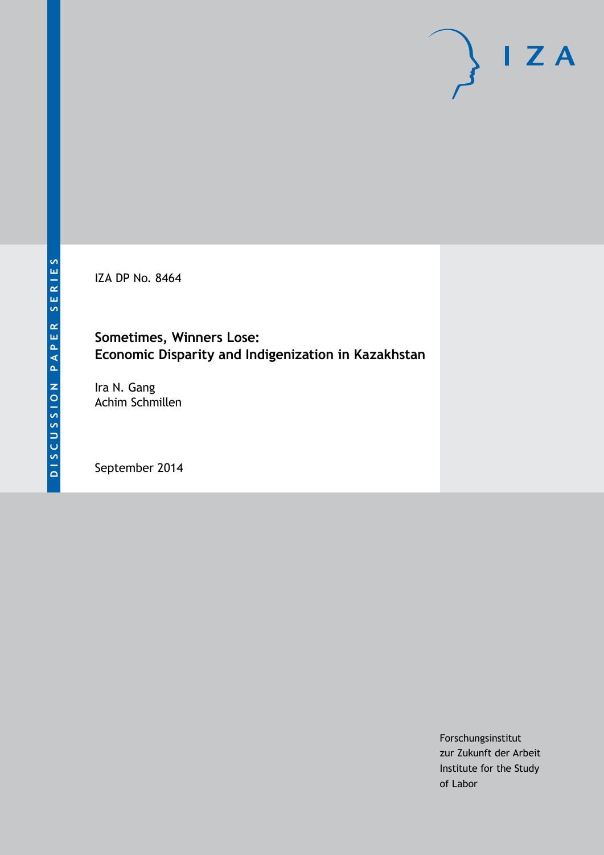IZA DP No. 8464

# **Sometimes, Winners Lose: Economic Disparity and Indigenization in Kazakhstan**

Ira N. Gang Achim Schmillen

September 2014

Forschungsinstitut zur Zukunft der Arbeit Institute for the Study of Labor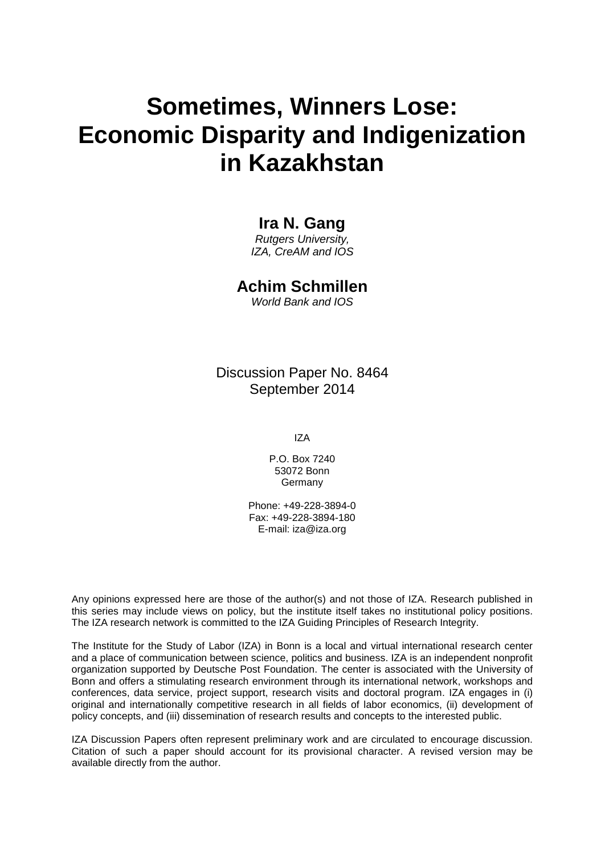# **Sometimes, Winners Lose: Economic Disparity and Indigenization in Kazakhstan**

## **Ira N. Gang**

*Rutgers University, IZA, CreAM and IOS*

### **Achim Schmillen**

*World Bank and IOS*

Discussion Paper No. 8464 September 2014

IZA

P.O. Box 7240 53072 Bonn **Germany** 

Phone: +49-228-3894-0 Fax: +49-228-3894-180 E-mail: [iza@iza.org](mailto:iza@iza.org)

Any opinions expressed here are those of the author(s) and not those of IZA. Research published in this series may include views on policy, but the institute itself takes no institutional policy positions. The IZA research network is committed to the IZA Guiding Principles of Research Integrity.

The Institute for the Study of Labor (IZA) in Bonn is a local and virtual international research center and a place of communication between science, politics and business. IZA is an independent nonprofit organization supported by Deutsche Post Foundation. The center is associated with the University of Bonn and offers a stimulating research environment through its international network, workshops and conferences, data service, project support, research visits and doctoral program. IZA engages in (i) original and internationally competitive research in all fields of labor economics, (ii) development of policy concepts, and (iii) dissemination of research results and concepts to the interested public.

<span id="page-1-0"></span>IZA Discussion Papers often represent preliminary work and are circulated to encourage discussion. Citation of such a paper should account for its provisional character. A revised version may be available directly from the author.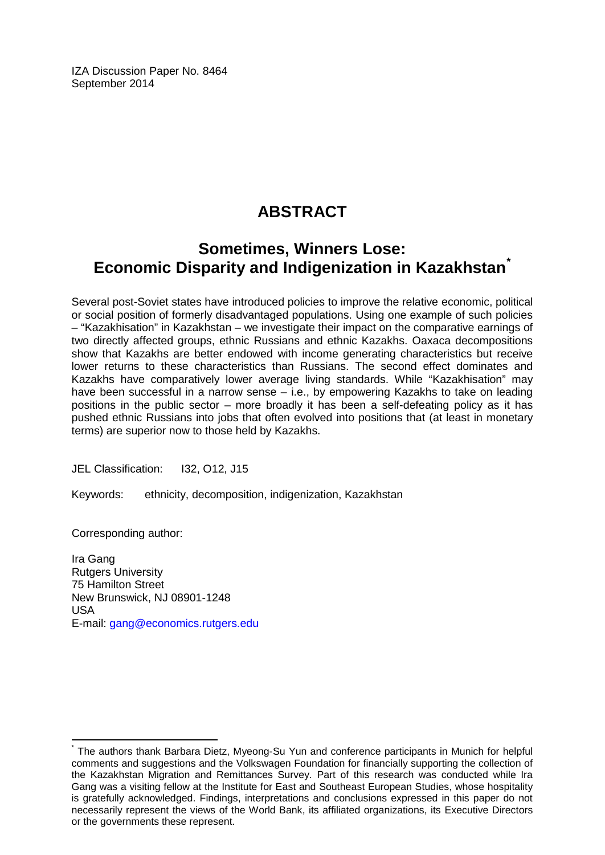IZA Discussion Paper No. 8464 September 2014

# **ABSTRACT**

# **Sometimes, Winners Lose: Economic Disparity and Indigenization in Kazakhstan[\\*](#page-1-0)**

Several post-Soviet states have introduced policies to improve the relative economic, political or social position of formerly disadvantaged populations. Using one example of such policies – "Kazakhisation" in Kazakhstan – we investigate their impact on the comparative earnings of two directly affected groups, ethnic Russians and ethnic Kazakhs. Oaxaca decompositions show that Kazakhs are better endowed with income generating characteristics but receive lower returns to these characteristics than Russians. The second effect dominates and Kazakhs have comparatively lower average living standards. While "Kazakhisation" may have been successful in a narrow sense – i.e., by empowering Kazakhs to take on leading positions in the public sector – more broadly it has been a self-defeating policy as it has pushed ethnic Russians into jobs that often evolved into positions that (at least in monetary terms) are superior now to those held by Kazakhs.

JEL Classification: I32, O12, J15

Keywords: ethnicity, decomposition, indigenization, Kazakhstan

Corresponding author:

Ira Gang Rutgers University 75 Hamilton Street New Brunswick, NJ 08901-1248 USA E-mail: [gang@economics.rutgers.edu](mailto:gang@economics.rutgers.edu)

The authors thank Barbara Dietz, Myeong-Su Yun and conference participants in Munich for helpful comments and suggestions and the Volkswagen Foundation for financially supporting the collection of the Kazakhstan Migration and Remittances Survey. Part of this research was conducted while Ira Gang was a visiting fellow at the Institute for East and Southeast European Studies, whose hospitality is gratefully acknowledged. Findings, interpretations and conclusions expressed in this paper do not necessarily represent the views of the World Bank, its affiliated organizations, its Executive Directors or the governments these represent.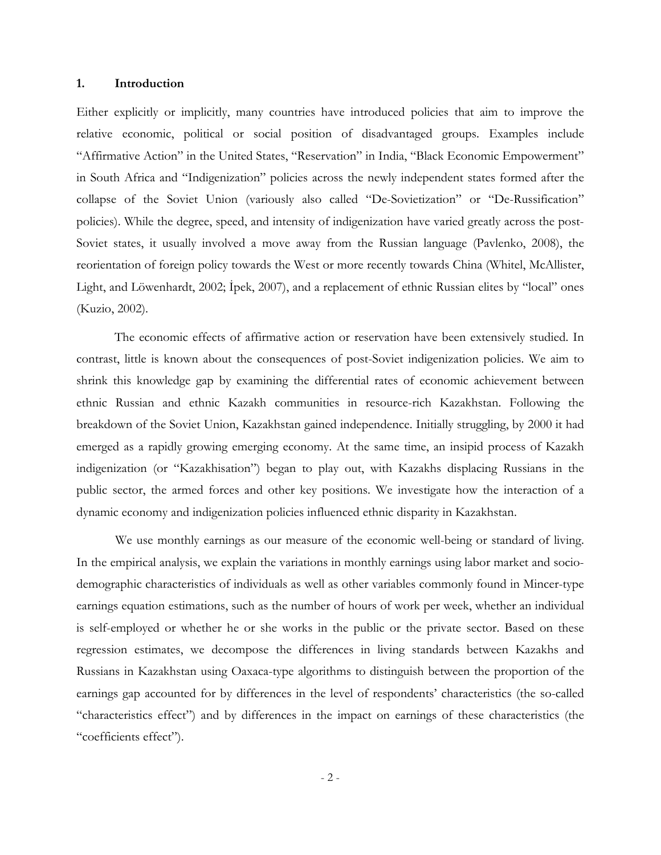#### **1. Introduction**

Either explicitly or implicitly, many countries have introduced policies that aim to improve the relative economic, political or social position of disadvantaged groups. Examples include "Affirmative Action" in the United States, "Reservation" in India, "Black Economic Empowerment" in South Africa and "Indigenization" policies across the newly independent states formed after the collapse of the Soviet Union (variously also called "De-Sovietization" or "De-Russification" policies). While the degree, speed, and intensity of indigenization have varied greatly across the post-Soviet states, it usually involved a move away from the Russian language (Pavlenko, 2008), the reorientation of foreign policy towards the West or more recently towards China (Whitel, McAllister, Light, and Löwenhardt, 2002; İpek, 2007), and a replacement of ethnic Russian elites by "local" ones (Kuzio, 2002).

 The economic effects of affirmative action or reservation have been extensively studied. In contrast, little is known about the consequences of post-Soviet indigenization policies. We aim to shrink this knowledge gap by examining the differential rates of economic achievement between ethnic Russian and ethnic Kazakh communities in resource-rich Kazakhstan. Following the breakdown of the Soviet Union, Kazakhstan gained independence. Initially struggling, by 2000 it had emerged as a rapidly growing emerging economy. At the same time, an insipid process of Kazakh indigenization (or "Kazakhisation") began to play out, with Kazakhs displacing Russians in the public sector, the armed forces and other key positions. We investigate how the interaction of a dynamic economy and indigenization policies influenced ethnic disparity in Kazakhstan.

We use monthly earnings as our measure of the economic well-being or standard of living. In the empirical analysis, we explain the variations in monthly earnings using labor market and sociodemographic characteristics of individuals as well as other variables commonly found in Mincer-type earnings equation estimations, such as the number of hours of work per week, whether an individual is self-employed or whether he or she works in the public or the private sector. Based on these regression estimates, we decompose the differences in living standards between Kazakhs and Russians in Kazakhstan using Oaxaca-type algorithms to distinguish between the proportion of the earnings gap accounted for by differences in the level of respondents' characteristics (the so-called "characteristics effect") and by differences in the impact on earnings of these characteristics (the "coefficients effect").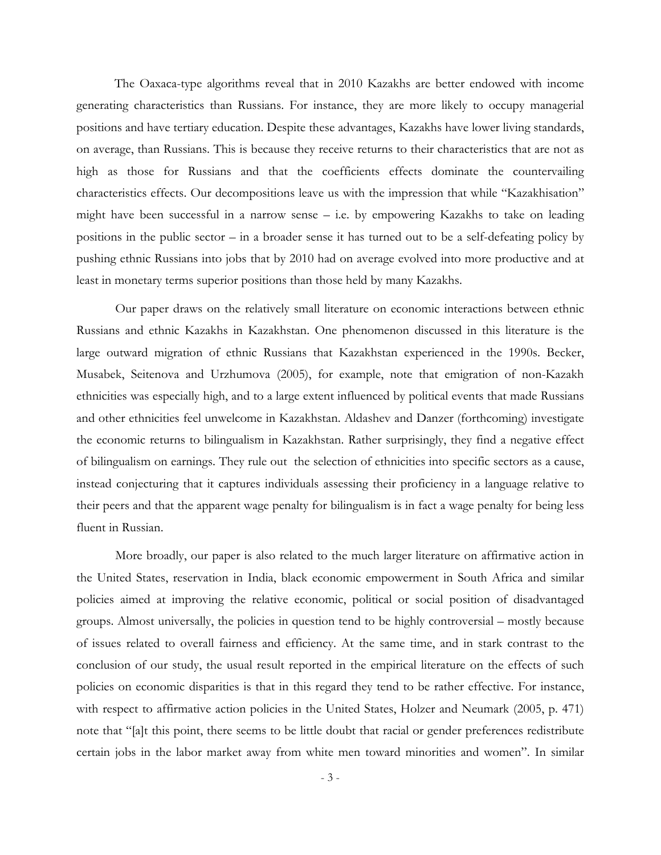The Oaxaca-type algorithms reveal that in 2010 Kazakhs are better endowed with income generating characteristics than Russians. For instance, they are more likely to occupy managerial positions and have tertiary education. Despite these advantages, Kazakhs have lower living standards, on average, than Russians. This is because they receive returns to their characteristics that are not as high as those for Russians and that the coefficients effects dominate the countervailing characteristics effects. Our decompositions leave us with the impression that while "Kazakhisation" might have been successful in a narrow sense – i.e. by empowering Kazakhs to take on leading positions in the public sector – in a broader sense it has turned out to be a self-defeating policy by pushing ethnic Russians into jobs that by 2010 had on average evolved into more productive and at least in monetary terms superior positions than those held by many Kazakhs.

Our paper draws on the relatively small literature on economic interactions between ethnic Russians and ethnic Kazakhs in Kazakhstan. One phenomenon discussed in this literature is the large outward migration of ethnic Russians that Kazakhstan experienced in the 1990s. Becker, Musabek, Seitenova and Urzhumova (2005), for example, note that emigration of non-Kazakh ethnicities was especially high, and to a large extent influenced by political events that made Russians and other ethnicities feel unwelcome in Kazakhstan. Aldashev and Danzer (forthcoming) investigate the economic returns to bilingualism in Kazakhstan. Rather surprisingly, they find a negative effect of bilingualism on earnings. They rule out the selection of ethnicities into specific sectors as a cause, instead conjecturing that it captures individuals assessing their proficiency in a language relative to their peers and that the apparent wage penalty for bilingualism is in fact a wage penalty for being less fluent in Russian.

More broadly, our paper is also related to the much larger literature on affirmative action in the United States, reservation in India, black economic empowerment in South Africa and similar policies aimed at improving the relative economic, political or social position of disadvantaged groups. Almost universally, the policies in question tend to be highly controversial – mostly because of issues related to overall fairness and efficiency. At the same time, and in stark contrast to the conclusion of our study, the usual result reported in the empirical literature on the effects of such policies on economic disparities is that in this regard they tend to be rather effective. For instance, with respect to affirmative action policies in the United States, Holzer and Neumark (2005, p. 471) note that "[a]t this point, there seems to be little doubt that racial or gender preferences redistribute certain jobs in the labor market away from white men toward minorities and women". In similar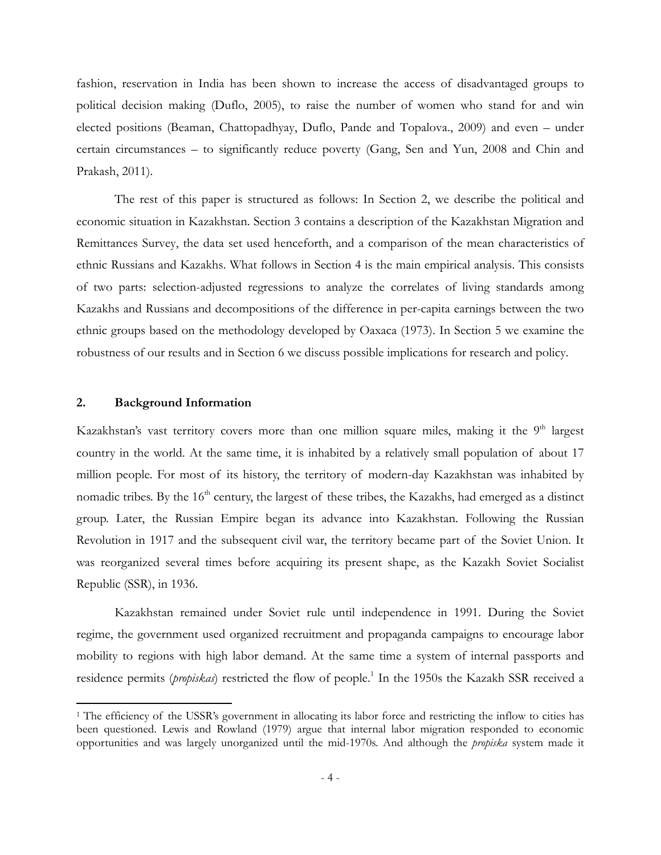fashion, reservation in India has been shown to increase the access of disadvantaged groups to political decision making (Duflo, 2005), to raise the number of women who stand for and win elected positions (Beaman, Chattopadhyay, Duflo, Pande and Topalova., 2009) and even – under certain circumstances – to significantly reduce poverty (Gang, Sen and Yun, 2008 and Chin and Prakash, 2011).

 The rest of this paper is structured as follows: In Section 2, we describe the political and economic situation in Kazakhstan. Section 3 contains a description of the Kazakhstan Migration and Remittances Survey, the data set used henceforth, and a comparison of the mean characteristics of ethnic Russians and Kazakhs. What follows in Section 4 is the main empirical analysis. This consists of two parts: selection-adjusted regressions to analyze the correlates of living standards among Kazakhs and Russians and decompositions of the difference in per-capita earnings between the two ethnic groups based on the methodology developed by Oaxaca (1973). In Section 5 we examine the robustness of our results and in Section 6 we discuss possible implications for research and policy.

#### **2. Background Information**

<u>.</u>

Kazakhstan's vast territory covers more than one million square miles, making it the 9<sup>th</sup> largest country in the world. At the same time, it is inhabited by a relatively small population of about 17 million people. For most of its history, the territory of modern-day Kazakhstan was inhabited by nomadic tribes. By the  $16<sup>th</sup>$  century, the largest of these tribes, the Kazakhs, had emerged as a distinct group. Later, the Russian Empire began its advance into Kazakhstan. Following the Russian Revolution in 1917 and the subsequent civil war, the territory became part of the Soviet Union. It was reorganized several times before acquiring its present shape, as the Kazakh Soviet Socialist Republic (SSR), in 1936.

Kazakhstan remained under Soviet rule until independence in 1991. During the Soviet regime, the government used organized recruitment and propaganda campaigns to encourage labor mobility to regions with high labor demand. At the same time a system of internal passports and residence permits (*propiskas*) restricted the flow of people.<sup>1</sup> In the 1950s the Kazakh SSR received a

<sup>&</sup>lt;sup>1</sup> The efficiency of the USSR's government in allocating its labor force and restricting the inflow to cities has been questioned. Lewis and Rowland (1979) argue that internal labor migration responded to economic opportunities and was largely unorganized until the mid-1970s. And although the *propiska* system made it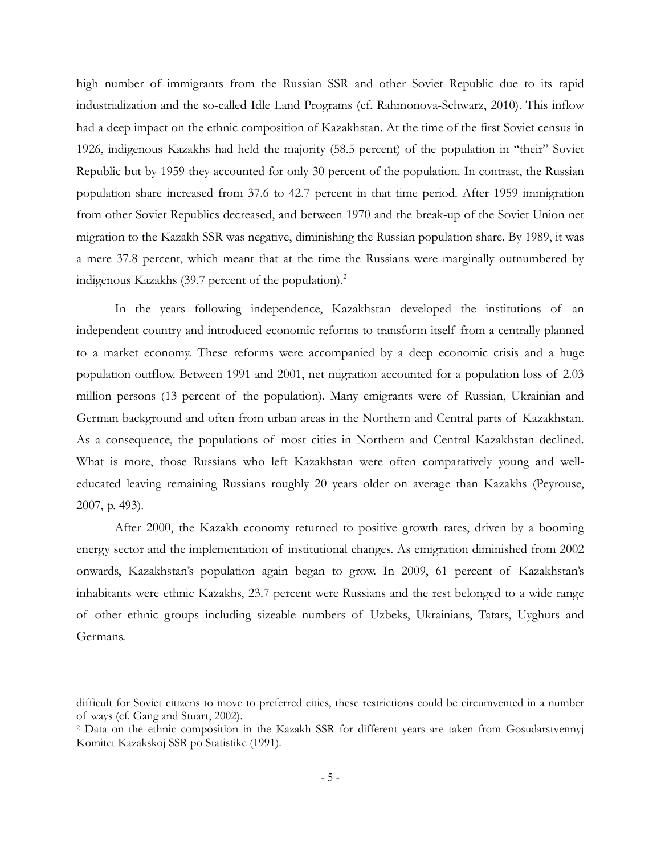high number of immigrants from the Russian SSR and other Soviet Republic due to its rapid industrialization and the so-called Idle Land Programs (cf. Rahmonova-Schwarz, 2010). This inflow had a deep impact on the ethnic composition of Kazakhstan. At the time of the first Soviet census in 1926, indigenous Kazakhs had held the majority (58.5 percent) of the population in "their" Soviet Republic but by 1959 they accounted for only 30 percent of the population. In contrast, the Russian population share increased from 37.6 to 42.7 percent in that time period. After 1959 immigration from other Soviet Republics decreased, and between 1970 and the break-up of the Soviet Union net migration to the Kazakh SSR was negative, diminishing the Russian population share. By 1989, it was a mere 37.8 percent, which meant that at the time the Russians were marginally outnumbered by indigenous Kazakhs  $(39.7)$  percent of the population).<sup>2</sup>

In the years following independence, Kazakhstan developed the institutions of an independent country and introduced economic reforms to transform itself from a centrally planned to a market economy. These reforms were accompanied by a deep economic crisis and a huge population outflow. Between 1991 and 2001, net migration accounted for a population loss of 2.03 million persons (13 percent of the population). Many emigrants were of Russian, Ukrainian and German background and often from urban areas in the Northern and Central parts of Kazakhstan. As a consequence, the populations of most cities in Northern and Central Kazakhstan declined. What is more, those Russians who left Kazakhstan were often comparatively young and welleducated leaving remaining Russians roughly 20 years older on average than Kazakhs (Peyrouse, 2007, p. 493).

After 2000, the Kazakh economy returned to positive growth rates, driven by a booming energy sector and the implementation of institutional changes. As emigration diminished from 2002 onwards, Kazakhstan's population again began to grow. In 2009, 61 percent of Kazakhstan's inhabitants were ethnic Kazakhs, 23.7 percent were Russians and the rest belonged to a wide range of other ethnic groups including sizeable numbers of Uzbeks, Ukrainians, Tatars, Uyghurs and Germans.

difficult for Soviet citizens to move to preferred cities, these restrictions could be circumvented in a number of ways (cf. Gang and Stuart, 2002).

<sup>2</sup> Data on the ethnic composition in the Kazakh SSR for different years are taken from Gosudarstvennyj Komitet Kazakskoj SSR po Statistike (1991).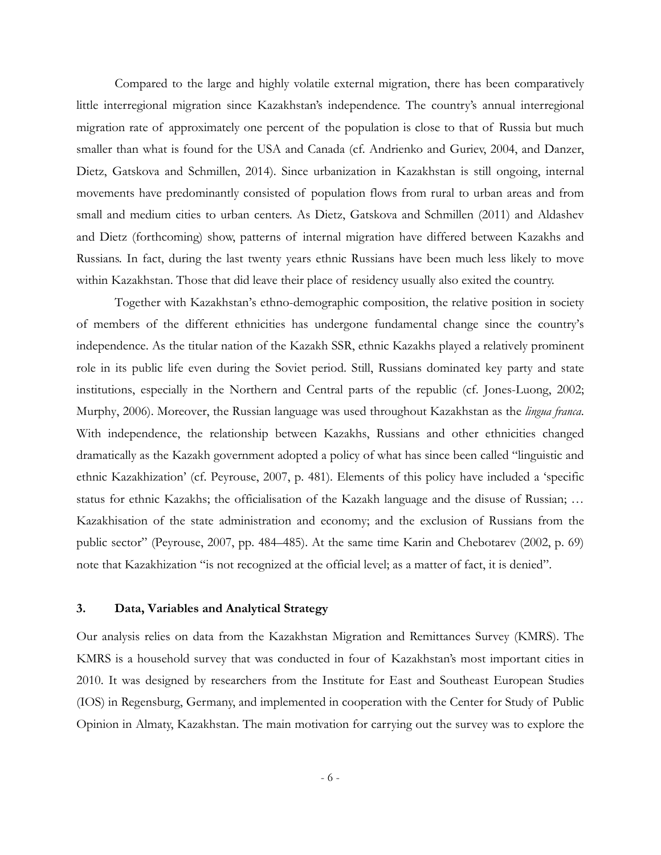Compared to the large and highly volatile external migration, there has been comparatively little interregional migration since Kazakhstan's independence. The country's annual interregional migration rate of approximately one percent of the population is close to that of Russia but much smaller than what is found for the USA and Canada (cf. Andrienko and Guriev, 2004, and Danzer, Dietz, Gatskova and Schmillen, 2014). Since urbanization in Kazakhstan is still ongoing, internal movements have predominantly consisted of population flows from rural to urban areas and from small and medium cities to urban centers. As Dietz, Gatskova and Schmillen (2011) and Aldashev and Dietz (forthcoming) show, patterns of internal migration have differed between Kazakhs and Russians. In fact, during the last twenty years ethnic Russians have been much less likely to move within Kazakhstan. Those that did leave their place of residency usually also exited the country.

Together with Kazakhstan's ethno-demographic composition, the relative position in society of members of the different ethnicities has undergone fundamental change since the country's independence. As the titular nation of the Kazakh SSR, ethnic Kazakhs played a relatively prominent role in its public life even during the Soviet period. Still, Russians dominated key party and state institutions, especially in the Northern and Central parts of the republic (cf. Jones-Luong, 2002; Murphy, 2006). Moreover, the Russian language was used throughout Kazakhstan as the *lingua franca*. With independence, the relationship between Kazakhs, Russians and other ethnicities changed dramatically as the Kazakh government adopted a policy of what has since been called "linguistic and ethnic Kazakhization' (cf. Peyrouse, 2007, p. 481). Elements of this policy have included a 'specific status for ethnic Kazakhs; the officialisation of the Kazakh language and the disuse of Russian; … Kazakhisation of the state administration and economy; and the exclusion of Russians from the public sector" (Peyrouse, 2007, pp. 484–485). At the same time Karin and Chebotarev (2002, p. 69) note that Kazakhization "is not recognized at the official level; as a matter of fact, it is denied".

#### **3. Data, Variables and Analytical Strategy**

Our analysis relies on data from the Kazakhstan Migration and Remittances Survey (KMRS). The KMRS is a household survey that was conducted in four of Kazakhstan's most important cities in 2010. It was designed by researchers from the Institute for East and Southeast European Studies (IOS) in Regensburg, Germany, and implemented in cooperation with the Center for Study of Public Opinion in Almaty, Kazakhstan. The main motivation for carrying out the survey was to explore the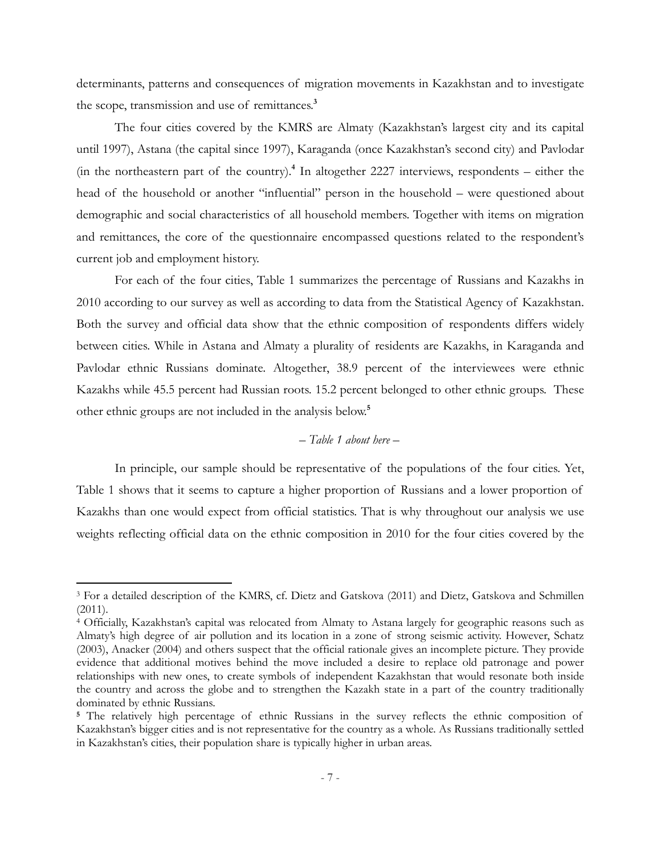determinants, patterns and consequences of migration movements in Kazakhstan and to investigate the scope, transmission and use of remittances.**<sup>3</sup>**

The four cities covered by the KMRS are Almaty (Kazakhstan's largest city and its capital until 1997), Astana (the capital since 1997), Karaganda (once Kazakhstan's second city) and Pavlodar (in the northeastern part of the country).**<sup>4</sup>** In altogether 2227 interviews, respondents – either the head of the household or another "influential" person in the household – were questioned about demographic and social characteristics of all household members. Together with items on migration and remittances, the core of the questionnaire encompassed questions related to the respondent's current job and employment history.

For each of the four cities, Table 1 summarizes the percentage of Russians and Kazakhs in 2010 according to our survey as well as according to data from the Statistical Agency of Kazakhstan. Both the survey and official data show that the ethnic composition of respondents differs widely between cities. While in Astana and Almaty a plurality of residents are Kazakhs, in Karaganda and Pavlodar ethnic Russians dominate. Altogether, 38.9 percent of the interviewees were ethnic Kazakhs while 45.5 percent had Russian roots. 15.2 percent belonged to other ethnic groups. These other ethnic groups are not included in the analysis below.**<sup>5</sup>**

#### *– Table 1 about here –*

In principle, our sample should be representative of the populations of the four cities. Yet, Table 1 shows that it seems to capture a higher proportion of Russians and a lower proportion of Kazakhs than one would expect from official statistics. That is why throughout our analysis we use weights reflecting official data on the ethnic composition in 2010 for the four cities covered by the

<sup>3</sup> For a detailed description of the KMRS, cf. Dietz and Gatskova (2011) and Dietz, Gatskova and Schmillen  $(2011).$ 

<sup>4</sup> Officially, Kazakhstan's capital was relocated from Almaty to Astana largely for geographic reasons such as Almaty's high degree of air pollution and its location in a zone of strong seismic activity. However, Schatz (2003), Anacker (2004) and others suspect that the official rationale gives an incomplete picture. They provide evidence that additional motives behind the move included a desire to replace old patronage and power relationships with new ones, to create symbols of independent Kazakhstan that would resonate both inside the country and across the globe and to strengthen the Kazakh state in a part of the country traditionally dominated by ethnic Russians.

**<sup>5</sup>** The relatively high percentage of ethnic Russians in the survey reflects the ethnic composition of Kazakhstan's bigger cities and is not representative for the country as a whole. As Russians traditionally settled in Kazakhstan's cities, their population share is typically higher in urban areas.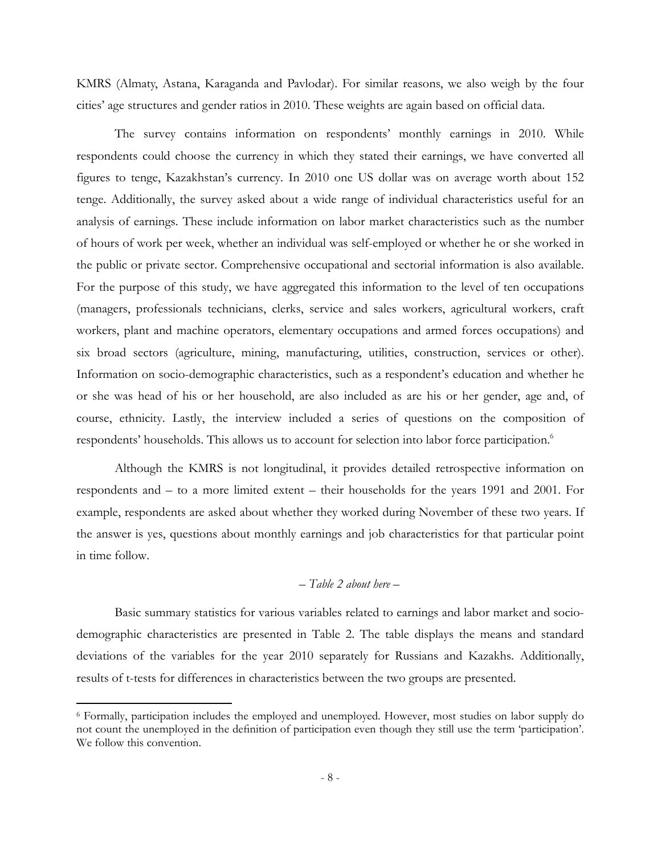KMRS (Almaty, Astana, Karaganda and Pavlodar). For similar reasons, we also weigh by the four cities' age structures and gender ratios in 2010. These weights are again based on official data.

The survey contains information on respondents' monthly earnings in 2010. While respondents could choose the currency in which they stated their earnings, we have converted all figures to tenge, Kazakhstan's currency. In 2010 one US dollar was on average worth about 152 tenge. Additionally, the survey asked about a wide range of individual characteristics useful for an analysis of earnings. These include information on labor market characteristics such as the number of hours of work per week, whether an individual was self-employed or whether he or she worked in the public or private sector. Comprehensive occupational and sectorial information is also available. For the purpose of this study, we have aggregated this information to the level of ten occupations (managers, professionals technicians, clerks, service and sales workers, agricultural workers, craft workers, plant and machine operators, elementary occupations and armed forces occupations) and six broad sectors (agriculture, mining, manufacturing, utilities, construction, services or other). Information on socio-demographic characteristics, such as a respondent's education and whether he or she was head of his or her household, are also included as are his or her gender, age and, of course, ethnicity. Lastly, the interview included a series of questions on the composition of respondents' households. This allows us to account for selection into labor force participation.<sup>6</sup>

Although the KMRS is not longitudinal, it provides detailed retrospective information on respondents and – to a more limited extent – their households for the years 1991 and 2001. For example, respondents are asked about whether they worked during November of these two years. If the answer is yes, questions about monthly earnings and job characteristics for that particular point in time follow.

#### *– Table 2 about here –*

Basic summary statistics for various variables related to earnings and labor market and sociodemographic characteristics are presented in Table 2. The table displays the means and standard deviations of the variables for the year 2010 separately for Russians and Kazakhs. Additionally, results of t-tests for differences in characteristics between the two groups are presented.

<sup>6</sup> Formally, participation includes the employed and unemployed. However, most studies on labor supply do not count the unemployed in the definition of participation even though they still use the term 'participation'. We follow this convention.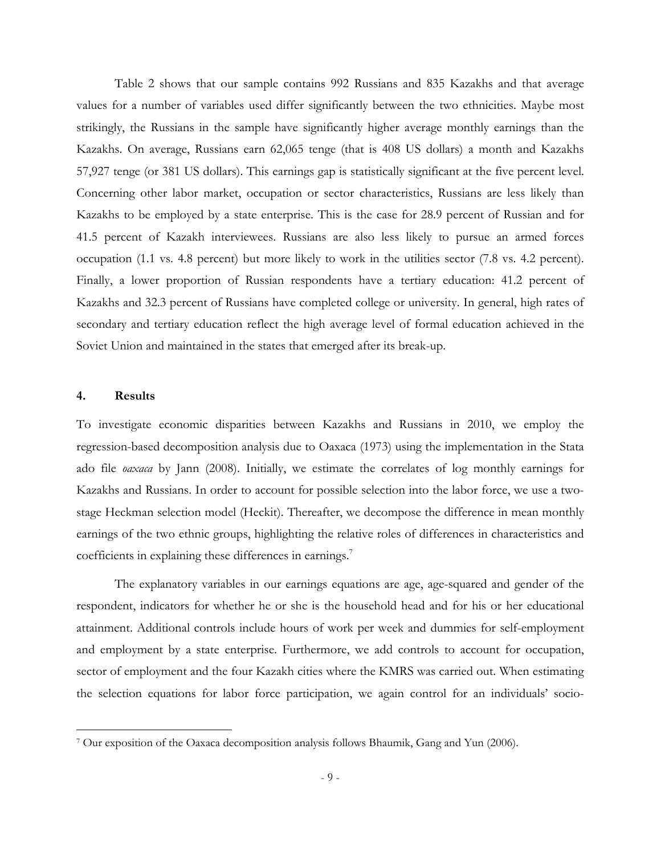Table 2 shows that our sample contains 992 Russians and 835 Kazakhs and that average values for a number of variables used differ significantly between the two ethnicities. Maybe most strikingly, the Russians in the sample have significantly higher average monthly earnings than the Kazakhs. On average, Russians earn 62,065 tenge (that is 408 US dollars) a month and Kazakhs 57,927 tenge (or 381 US dollars). This earnings gap is statistically significant at the five percent level. Concerning other labor market, occupation or sector characteristics, Russians are less likely than Kazakhs to be employed by a state enterprise. This is the case for 28.9 percent of Russian and for 41.5 percent of Kazakh interviewees. Russians are also less likely to pursue an armed forces occupation (1.1 vs. 4.8 percent) but more likely to work in the utilities sector (7.8 vs. 4.2 percent). Finally, a lower proportion of Russian respondents have a tertiary education: 41.2 percent of Kazakhs and 32.3 percent of Russians have completed college or university. In general, high rates of secondary and tertiary education reflect the high average level of formal education achieved in the Soviet Union and maintained in the states that emerged after its break-up.

#### **4. Results**

<u>.</u>

To investigate economic disparities between Kazakhs and Russians in 2010, we employ the regression-based decomposition analysis due to Oaxaca (1973) using the implementation in the Stata ado file *oaxaca* by Jann (2008). Initially, we estimate the correlates of log monthly earnings for Kazakhs and Russians. In order to account for possible selection into the labor force, we use a twostage Heckman selection model (Heckit). Thereafter, we decompose the difference in mean monthly earnings of the two ethnic groups, highlighting the relative roles of differences in characteristics and coefficients in explaining these differences in earnings.<sup>7</sup>

The explanatory variables in our earnings equations are age, age-squared and gender of the respondent, indicators for whether he or she is the household head and for his or her educational attainment. Additional controls include hours of work per week and dummies for self-employment and employment by a state enterprise. Furthermore, we add controls to account for occupation, sector of employment and the four Kazakh cities where the KMRS was carried out. When estimating the selection equations for labor force participation, we again control for an individuals' socio-

<sup>7</sup> Our exposition of the Oaxaca decomposition analysis follows Bhaumik, Gang and Yun (2006).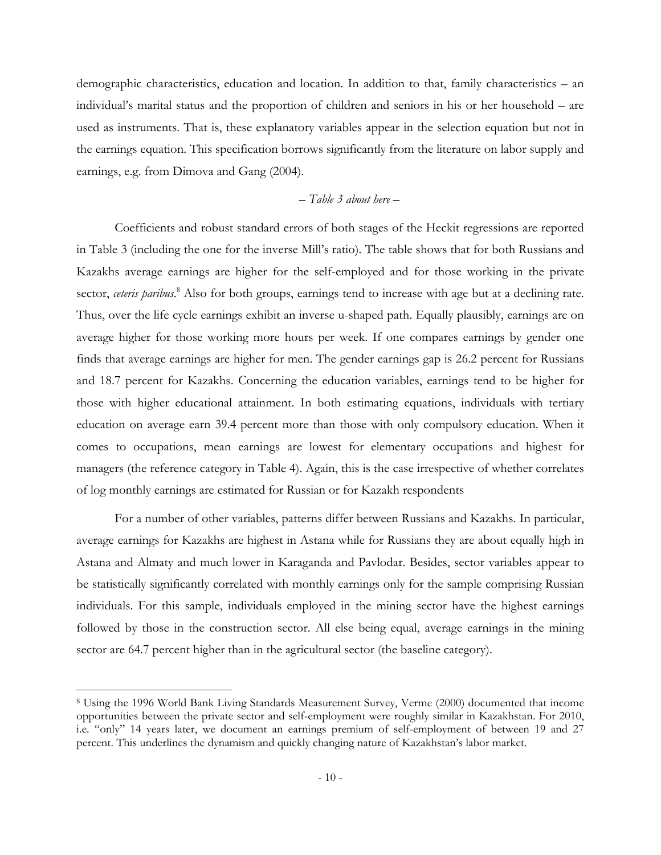demographic characteristics, education and location. In addition to that, family characteristics – an individual's marital status and the proportion of children and seniors in his or her household – are used as instruments. That is, these explanatory variables appear in the selection equation but not in the earnings equation. This specification borrows significantly from the literature on labor supply and earnings, e.g. from Dimova and Gang (2004).

#### *– Table 3 about here –*

Coefficients and robust standard errors of both stages of the Heckit regressions are reported in Table 3 (including the one for the inverse Mill's ratio). The table shows that for both Russians and Kazakhs average earnings are higher for the self-employed and for those working in the private sector, ceteris paribus.<sup>8</sup> Also for both groups, earnings tend to increase with age but at a declining rate. Thus, over the life cycle earnings exhibit an inverse u-shaped path. Equally plausibly, earnings are on average higher for those working more hours per week. If one compares earnings by gender one finds that average earnings are higher for men. The gender earnings gap is 26.2 percent for Russians and 18.7 percent for Kazakhs. Concerning the education variables, earnings tend to be higher for those with higher educational attainment. In both estimating equations, individuals with tertiary education on average earn 39.4 percent more than those with only compulsory education. When it comes to occupations, mean earnings are lowest for elementary occupations and highest for managers (the reference category in Table 4). Again, this is the case irrespective of whether correlates of log monthly earnings are estimated for Russian or for Kazakh respondents

For a number of other variables, patterns differ between Russians and Kazakhs. In particular, average earnings for Kazakhs are highest in Astana while for Russians they are about equally high in Astana and Almaty and much lower in Karaganda and Pavlodar. Besides, sector variables appear to be statistically significantly correlated with monthly earnings only for the sample comprising Russian individuals. For this sample, individuals employed in the mining sector have the highest earnings followed by those in the construction sector. All else being equal, average earnings in the mining sector are 64.7 percent higher than in the agricultural sector (the baseline category).

<sup>8</sup> Using the 1996 World Bank Living Standards Measurement Survey, Verme (2000) documented that income opportunities between the private sector and self-employment were roughly similar in Kazakhstan. For 2010, i.e. "only" 14 years later, we document an earnings premium of self-employment of between 19 and 27 percent. This underlines the dynamism and quickly changing nature of Kazakhstan's labor market.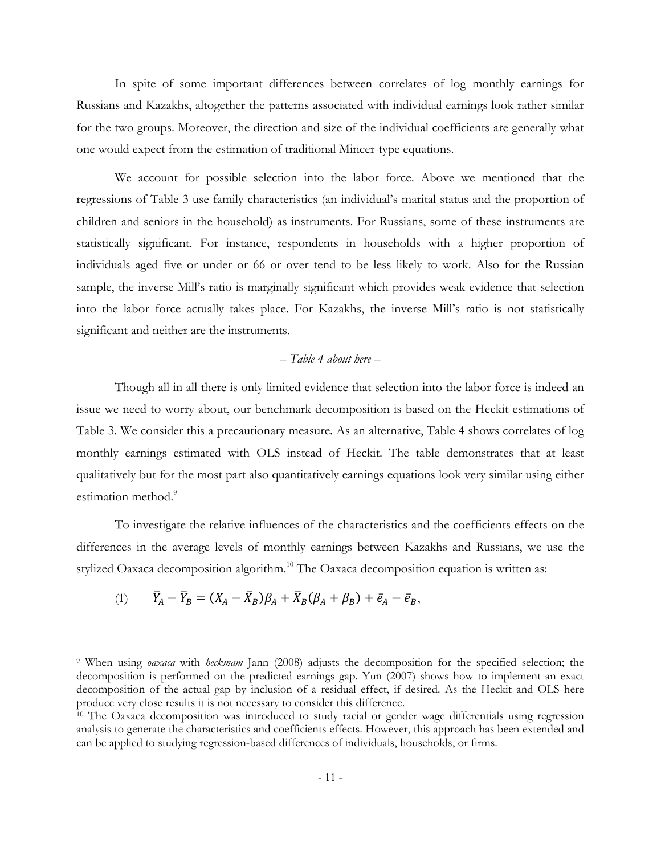In spite of some important differences between correlates of log monthly earnings for Russians and Kazakhs, altogether the patterns associated with individual earnings look rather similar for the two groups. Moreover, the direction and size of the individual coefficients are generally what one would expect from the estimation of traditional Mincer-type equations.

We account for possible selection into the labor force. Above we mentioned that the regressions of Table 3 use family characteristics (an individual's marital status and the proportion of children and seniors in the household) as instruments. For Russians, some of these instruments are statistically significant. For instance, respondents in households with a higher proportion of individuals aged five or under or 66 or over tend to be less likely to work. Also for the Russian sample, the inverse Mill's ratio is marginally significant which provides weak evidence that selection into the labor force actually takes place. For Kazakhs, the inverse Mill's ratio is not statistically significant and neither are the instruments.

#### *– Table 4 about here –*

Though all in all there is only limited evidence that selection into the labor force is indeed an issue we need to worry about, our benchmark decomposition is based on the Heckit estimations of Table 3. We consider this a precautionary measure. As an alternative, Table 4 shows correlates of log monthly earnings estimated with OLS instead of Heckit. The table demonstrates that at least qualitatively but for the most part also quantitatively earnings equations look very similar using either estimation method.<sup>9</sup>

To investigate the relative influences of the characteristics and the coefficients effects on the differences in the average levels of monthly earnings between Kazakhs and Russians, we use the stylized Oaxaca decomposition algorithm.<sup>10</sup> The Oaxaca decomposition equation is written as:

$$
(1) \qquad \bar{Y}_A - \bar{Y}_B = (X_A - \bar{X}_B)\beta_A + \bar{X}_B(\beta_A + \beta_B) + \bar{e}_A - \bar{e}_B,
$$

<sup>9</sup> When using *oaxaca* with *heckmam* Jann (2008) adjusts the decomposition for the specified selection; the decomposition is performed on the predicted earnings gap. Yun (2007) shows how to implement an exact decomposition of the actual gap by inclusion of a residual effect, if desired. As the Heckit and OLS here produce very close results it is not necessary to consider this difference.

 $10$  The Oaxaca decomposition was introduced to study racial or gender wage differentials using regression analysis to generate the characteristics and coefficients effects. However, this approach has been extended and can be applied to studying regression-based differences of individuals, households, or firms.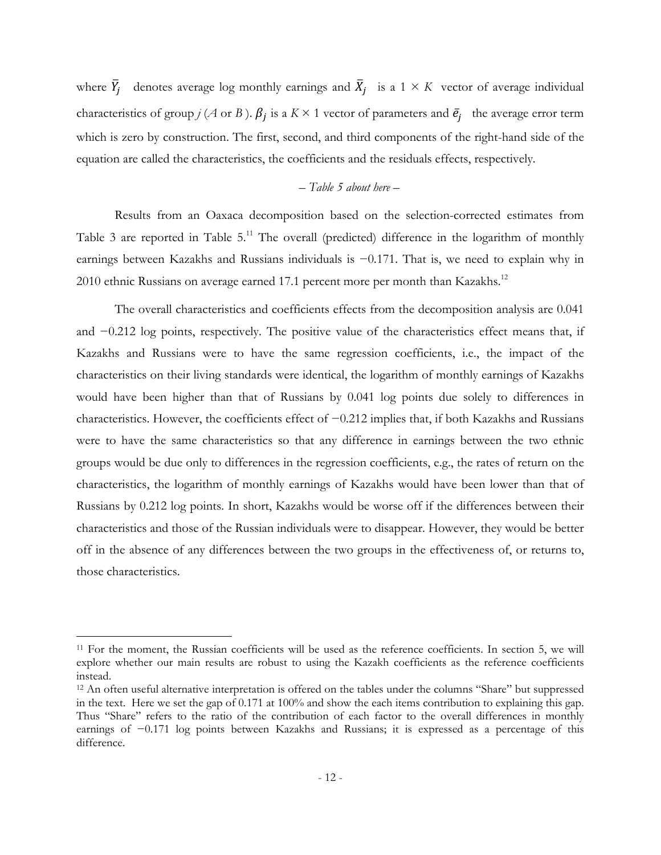where  $\bar{Y}_j$  denotes average log monthly earnings and  $\bar{X}_j$  is a 1 × *K* vector of average individual characteristics of group *j* (*A* or *B*).  $\beta_j$  is a *K* × 1 vector of parameters and  $\bar{e}_j$  the average error term which is zero by construction. The first, second, and third components of the right-hand side of the equation are called the characteristics, the coefficients and the residuals effects, respectively.

#### *– Table 5 about here –*

Results from an Oaxaca decomposition based on the selection-corrected estimates from Table 3 are reported in Table  $5<sup>11</sup>$ . The overall (predicted) difference in the logarithm of monthly earnings between Kazakhs and Russians individuals is −0*.*171. That is, we need to explain why in 2010 ethnic Russians on average earned 17.1 percent more per month than Kazakhs.<sup>12</sup>

The overall characteristics and coefficients effects from the decomposition analysis are 0.041 and −0.212 log points, respectively. The positive value of the characteristics effect means that, if Kazakhs and Russians were to have the same regression coefficients, i.e., the impact of the characteristics on their living standards were identical, the logarithm of monthly earnings of Kazakhs would have been higher than that of Russians by 0.041 log points due solely to differences in characteristics. However, the coefficients effect of −0.212 implies that, if both Kazakhs and Russians were to have the same characteristics so that any difference in earnings between the two ethnic groups would be due only to differences in the regression coefficients, e.g., the rates of return on the characteristics, the logarithm of monthly earnings of Kazakhs would have been lower than that of Russians by 0.212 log points. In short, Kazakhs would be worse off if the differences between their characteristics and those of the Russian individuals were to disappear. However, they would be better off in the absence of any differences between the two groups in the effectiveness of, or returns to, those characteristics.

<sup>11</sup> For the moment, the Russian coefficients will be used as the reference coefficients. In section 5, we will explore whether our main results are robust to using the Kazakh coefficients as the reference coefficients instead.

<sup>&</sup>lt;sup>12</sup> An often useful alternative interpretation is offered on the tables under the columns "Share" but suppressed in the text. Here we set the gap of 0.171 at 100% and show the each items contribution to explaining this gap. Thus "Share" refers to the ratio of the contribution of each factor to the overall differences in monthly earnings of −0.171 log points between Kazakhs and Russians; it is expressed as a percentage of this difference.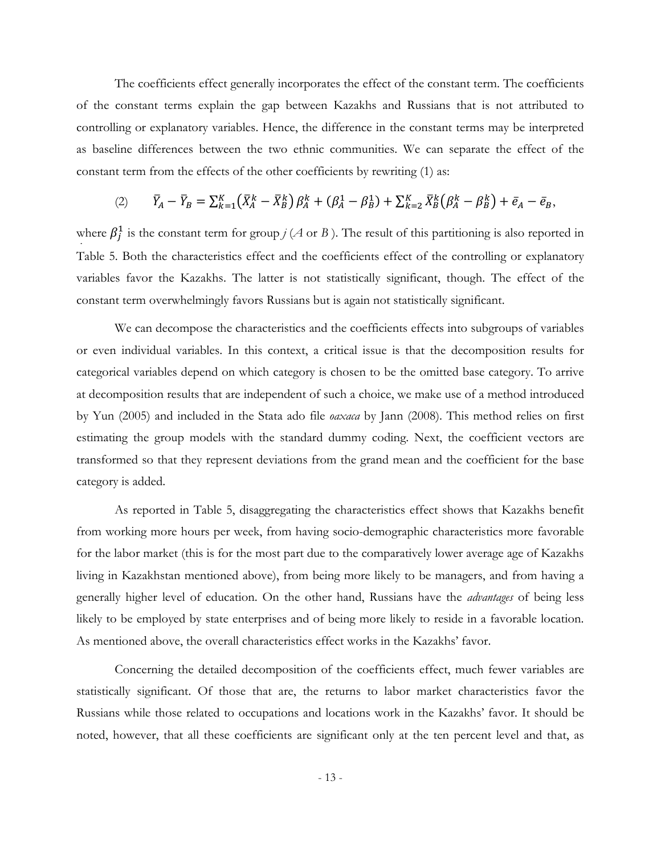The coefficients effect generally incorporates the effect of the constant term. The coefficients of the constant terms explain the gap between Kazakhs and Russians that is not attributed to controlling or explanatory variables. Hence, the difference in the constant terms may be interpreted as baseline differences between the two ethnic communities. We can separate the effect of the constant term from the effects of the other coefficients by rewriting (1) as:

(2) 
$$
\bar{Y}_A - \bar{Y}_B = \sum_{k=1}^K (\bar{X}_A^k - \bar{X}_B^k) \beta_A^k + (\beta_A^1 - \beta_B^1) + \sum_{k=2}^K \bar{X}_B^k (\beta_A^k - \beta_B^k) + \bar{e}_A - \bar{e}_B,
$$

*j* where  $\beta_j^1$  is the constant term for group *j* (*A* or *B*). The result of this partitioning is also reported in Table 5. Both the characteristics effect and the coefficients effect of the controlling or explanatory variables favor the Kazakhs. The latter is not statistically significant, though. The effect of the constant term overwhelmingly favors Russians but is again not statistically significant.

We can decompose the characteristics and the coefficients effects into subgroups of variables or even individual variables. In this context, a critical issue is that the decomposition results for categorical variables depend on which category is chosen to be the omitted base category. To arrive at decomposition results that are independent of such a choice, we make use of a method introduced by Yun (2005) and included in the Stata ado file *oaxaca* by Jann (2008). This method relies on first estimating the group models with the standard dummy coding. Next, the coefficient vectors are transformed so that they represent deviations from the grand mean and the coefficient for the base category is added.

As reported in Table 5, disaggregating the characteristics effect shows that Kazakhs benefit from working more hours per week, from having socio-demographic characteristics more favorable for the labor market (this is for the most part due to the comparatively lower average age of Kazakhs living in Kazakhstan mentioned above), from being more likely to be managers, and from having a generally higher level of education. On the other hand, Russians have the *advantages* of being less likely to be employed by state enterprises and of being more likely to reside in a favorable location. As mentioned above, the overall characteristics effect works in the Kazakhs' favor.

Concerning the detailed decomposition of the coefficients effect, much fewer variables are statistically significant. Of those that are, the returns to labor market characteristics favor the Russians while those related to occupations and locations work in the Kazakhs' favor. It should be noted, however, that all these coefficients are significant only at the ten percent level and that, as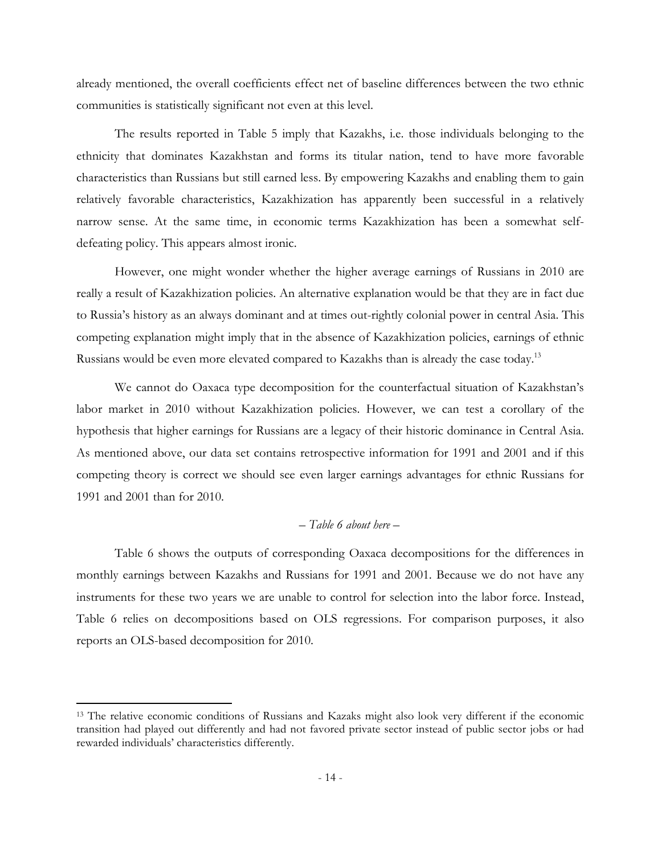already mentioned, the overall coefficients effect net of baseline differences between the two ethnic communities is statistically significant not even at this level.

The results reported in Table 5 imply that Kazakhs, i.e. those individuals belonging to the ethnicity that dominates Kazakhstan and forms its titular nation, tend to have more favorable characteristics than Russians but still earned less. By empowering Kazakhs and enabling them to gain relatively favorable characteristics, Kazakhization has apparently been successful in a relatively narrow sense. At the same time, in economic terms Kazakhization has been a somewhat selfdefeating policy. This appears almost ironic.

However, one might wonder whether the higher average earnings of Russians in 2010 are really a result of Kazakhization policies. An alternative explanation would be that they are in fact due to Russia's history as an always dominant and at times out-rightly colonial power in central Asia. This competing explanation might imply that in the absence of Kazakhization policies, earnings of ethnic Russians would be even more elevated compared to Kazakhs than is already the case today.<sup>13</sup>

We cannot do Oaxaca type decomposition for the counterfactual situation of Kazakhstan's labor market in 2010 without Kazakhization policies. However, we can test a corollary of the hypothesis that higher earnings for Russians are a legacy of their historic dominance in Central Asia. As mentioned above, our data set contains retrospective information for 1991 and 2001 and if this competing theory is correct we should see even larger earnings advantages for ethnic Russians for 1991 and 2001 than for 2010.

#### *– Table 6 about here –*

Table 6 shows the outputs of corresponding Oaxaca decompositions for the differences in monthly earnings between Kazakhs and Russians for 1991 and 2001. Because we do not have any instruments for these two years we are unable to control for selection into the labor force. Instead, Table 6 relies on decompositions based on OLS regressions. For comparison purposes, it also reports an OLS-based decomposition for 2010.

<sup>&</sup>lt;sup>13</sup> The relative economic conditions of Russians and Kazaks might also look very different if the economic transition had played out differently and had not favored private sector instead of public sector jobs or had rewarded individuals' characteristics differently.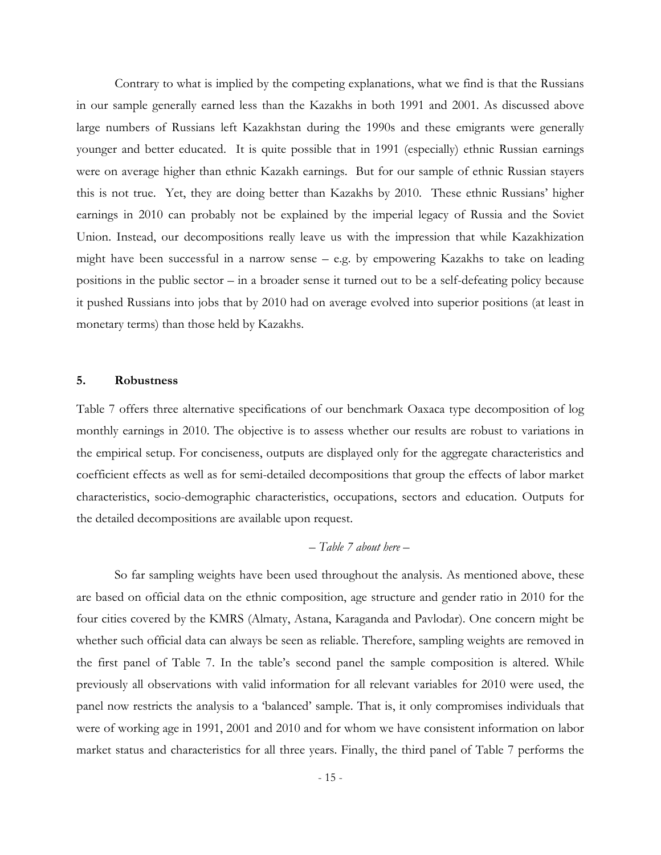Contrary to what is implied by the competing explanations, what we find is that the Russians in our sample generally earned less than the Kazakhs in both 1991 and 2001. As discussed above large numbers of Russians left Kazakhstan during the 1990s and these emigrants were generally younger and better educated. It is quite possible that in 1991 (especially) ethnic Russian earnings were on average higher than ethnic Kazakh earnings. But for our sample of ethnic Russian stayers this is not true. Yet, they are doing better than Kazakhs by 2010. These ethnic Russians' higher earnings in 2010 can probably not be explained by the imperial legacy of Russia and the Soviet Union. Instead, our decompositions really leave us with the impression that while Kazakhization might have been successful in a narrow sense – e.g. by empowering Kazakhs to take on leading positions in the public sector – in a broader sense it turned out to be a self-defeating policy because it pushed Russians into jobs that by 2010 had on average evolved into superior positions (at least in monetary terms) than those held by Kazakhs.

#### **5. Robustness**

Table 7 offers three alternative specifications of our benchmark Oaxaca type decomposition of log monthly earnings in 2010. The objective is to assess whether our results are robust to variations in the empirical setup. For conciseness, outputs are displayed only for the aggregate characteristics and coefficient effects as well as for semi-detailed decompositions that group the effects of labor market characteristics, socio-demographic characteristics, occupations, sectors and education. Outputs for the detailed decompositions are available upon request.

#### *– Table 7 about here –*

So far sampling weights have been used throughout the analysis. As mentioned above, these are based on official data on the ethnic composition, age structure and gender ratio in 2010 for the four cities covered by the KMRS (Almaty, Astana, Karaganda and Pavlodar). One concern might be whether such official data can always be seen as reliable. Therefore, sampling weights are removed in the first panel of Table 7. In the table's second panel the sample composition is altered. While previously all observations with valid information for all relevant variables for 2010 were used, the panel now restricts the analysis to a 'balanced' sample. That is, it only compromises individuals that were of working age in 1991, 2001 and 2010 and for whom we have consistent information on labor market status and characteristics for all three years. Finally, the third panel of Table 7 performs the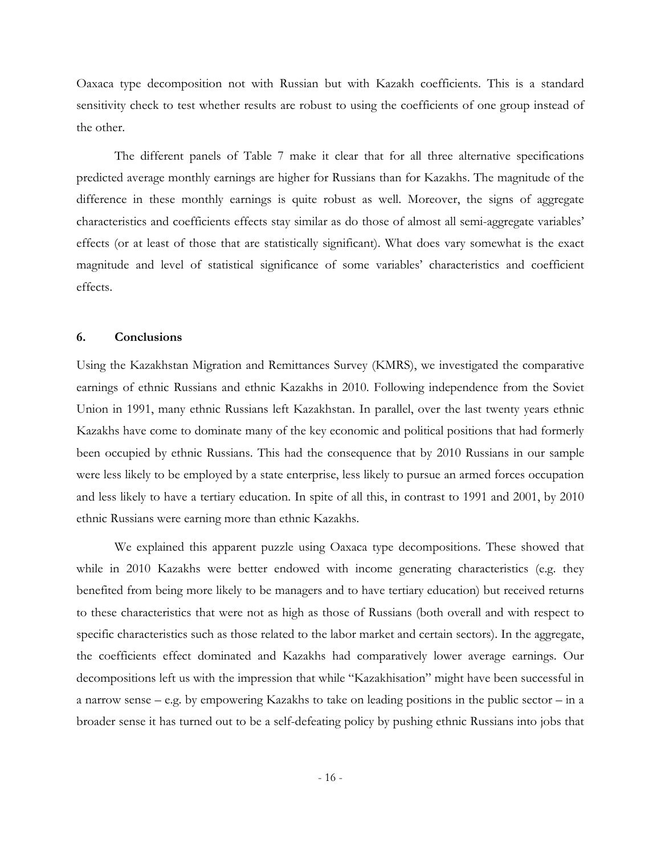Oaxaca type decomposition not with Russian but with Kazakh coefficients. This is a standard sensitivity check to test whether results are robust to using the coefficients of one group instead of the other.

The different panels of Table 7 make it clear that for all three alternative specifications predicted average monthly earnings are higher for Russians than for Kazakhs. The magnitude of the difference in these monthly earnings is quite robust as well. Moreover, the signs of aggregate characteristics and coefficients effects stay similar as do those of almost all semi-aggregate variables' effects (or at least of those that are statistically significant). What does vary somewhat is the exact magnitude and level of statistical significance of some variables' characteristics and coefficient effects.

#### **6. Conclusions**

Using the Kazakhstan Migration and Remittances Survey (KMRS), we investigated the comparative earnings of ethnic Russians and ethnic Kazakhs in 2010. Following independence from the Soviet Union in 1991, many ethnic Russians left Kazakhstan. In parallel, over the last twenty years ethnic Kazakhs have come to dominate many of the key economic and political positions that had formerly been occupied by ethnic Russians. This had the consequence that by 2010 Russians in our sample were less likely to be employed by a state enterprise, less likely to pursue an armed forces occupation and less likely to have a tertiary education. In spite of all this, in contrast to 1991 and 2001, by 2010 ethnic Russians were earning more than ethnic Kazakhs.

 We explained this apparent puzzle using Oaxaca type decompositions. These showed that while in 2010 Kazakhs were better endowed with income generating characteristics (e.g. they benefited from being more likely to be managers and to have tertiary education) but received returns to these characteristics that were not as high as those of Russians (both overall and with respect to specific characteristics such as those related to the labor market and certain sectors). In the aggregate, the coefficients effect dominated and Kazakhs had comparatively lower average earnings. Our decompositions left us with the impression that while "Kazakhisation" might have been successful in a narrow sense – e.g. by empowering Kazakhs to take on leading positions in the public sector – in a broader sense it has turned out to be a self-defeating policy by pushing ethnic Russians into jobs that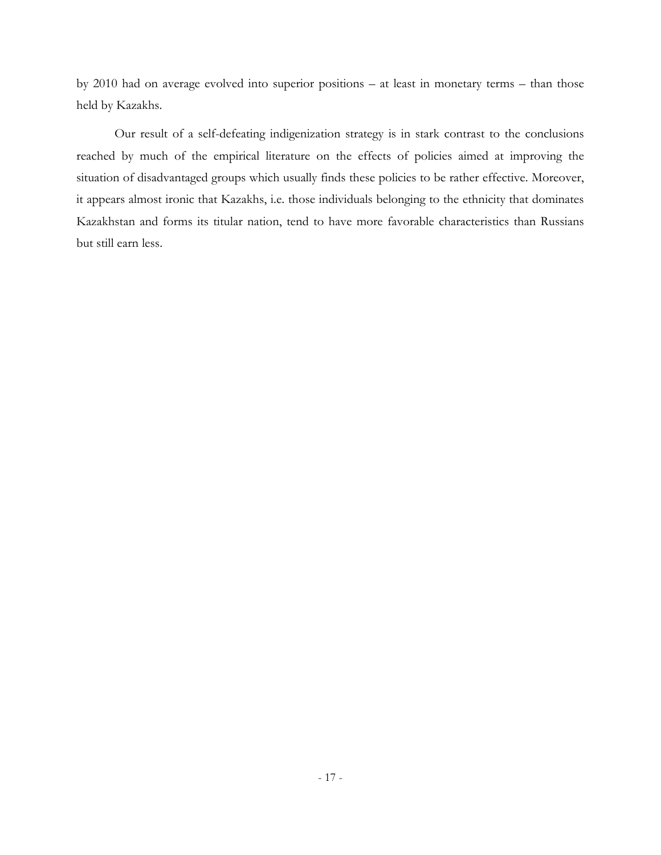by 2010 had on average evolved into superior positions – at least in monetary terms – than those held by Kazakhs.

 Our result of a self-defeating indigenization strategy is in stark contrast to the conclusions reached by much of the empirical literature on the effects of policies aimed at improving the situation of disadvantaged groups which usually finds these policies to be rather effective. Moreover, it appears almost ironic that Kazakhs, i.e. those individuals belonging to the ethnicity that dominates Kazakhstan and forms its titular nation, tend to have more favorable characteristics than Russians but still earn less.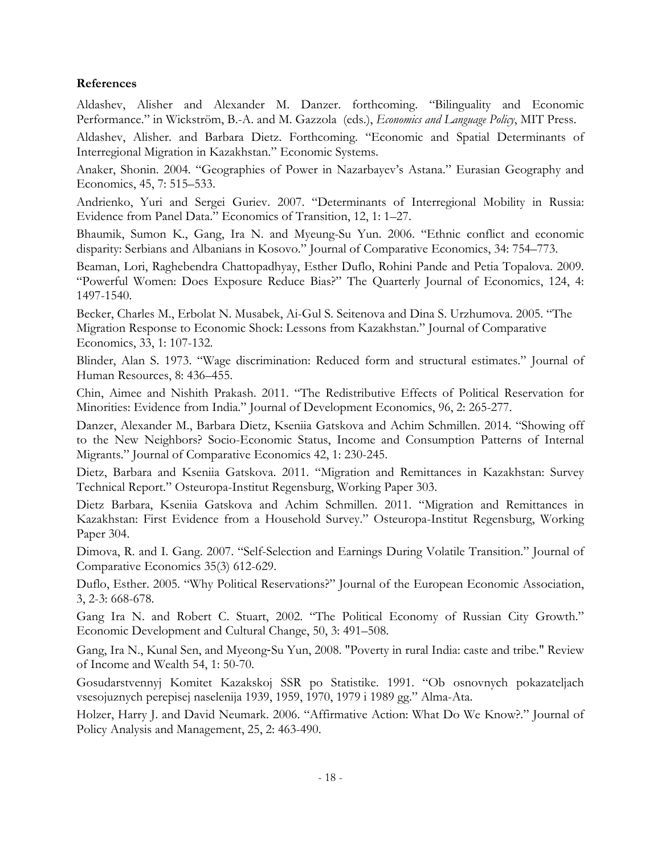#### **References**

Aldashev, Alisher and Alexander M. Danzer. forthcoming. "Bilinguality and Economic Performance." in Wickström, B.-A. and M. Gazzola (eds.), *Economics and Language Policy*, MIT Press.

Aldashev, Alisher. and Barbara Dietz. Forthcoming. "Economic and Spatial Determinants of Interregional Migration in Kazakhstan." Economic Systems.

Anaker, Shonin. 2004. "Geographies of Power in Nazarbayev's Astana." Eurasian Geography and Economics, 45, 7: 515–533.

Andrienko, Yuri and Sergei Guriev. 2007. "Determinants of Interregional Mobility in Russia: Evidence from Panel Data." Economics of Transition, 12, 1: 1–27.

Bhaumik, Sumon K., Gang, Ira N. and Myeung-Su Yun. 2006. "Ethnic conflict and economic disparity: Serbians and Albanians in Kosovo." Journal of Comparative Economics, 34: 754–773.

Beaman, Lori, Raghebendra Chattopadhyay, Esther Duflo, Rohini Pande and Petia Topalova. 2009. "Powerful Women: Does Exposure Reduce Bias?" The Quarterly Journal of Economics, 124, 4: 1497-1540.

Becker, Charles M., Erbolat N. Musabek, Ai-Gul S. Seitenova and Dina S. Urzhumova. 2005. "The Migration Response to Economic Shock: Lessons from Kazakhstan." Journal of Comparative Economics, 33, 1: 107-132.

Blinder, Alan S. 1973. "Wage discrimination: Reduced form and structural estimates." Journal of Human Resources, 8: 436–455.

Chin, Aimee and Nishith Prakash. 2011. "The Redistributive Effects of Political Reservation for Minorities: Evidence from India." Journal of Development Economics, 96, 2: 265-277.

Danzer, Alexander M., Barbara Dietz, Kseniia Gatskova and Achim Schmillen. 2014. "Showing off to the New Neighbors? Socio-Economic Status, Income and Consumption Patterns of Internal Migrants." Journal of Comparative Economics 42, 1: 230-245.

Dietz, Barbara and Kseniia Gatskova. 2011. "Migration and Remittances in Kazakhstan: Survey Technical Report." Osteuropa-Institut Regensburg, Working Paper 303.

Dietz Barbara, Kseniia Gatskova and Achim Schmillen. 2011. "Migration and Remittances in Kazakhstan: First Evidence from a Household Survey." Osteuropa-Institut Regensburg, Working Paper 304.

Dimova, R. and I. Gang. 2007. "Self-Selection and Earnings During Volatile Transition." Journal of Comparative Economics 35(3) 612-629.

Duflo, Esther. 2005. "Why Political Reservations?" Journal of the European Economic Association, 3, 2-3: 668-678.

Gang Ira N. and Robert C. Stuart, 2002. "The Political Economy of Russian City Growth." Economic Development and Cultural Change, 50, 3: 491–508.

Gang, Ira N., Kunal Sen, and Myeong‐Su Yun, 2008. "Poverty in rural India: caste and tribe." Review of Income and Wealth 54, 1: 50-70.

Gosudarstvennyj Komitet Kazakskoj SSR po Statistike. 1991. "Ob osnovnych pokazateljach vsesojuznych perepisej naselenija 1939, 1959, 1970, 1979 i 1989 gg." Alma-Ata.

Holzer, Harry J. and David Neumark. 2006. "Affirmative Action: What Do We Know?." Journal of Policy Analysis and Management, 25, 2: 463-490.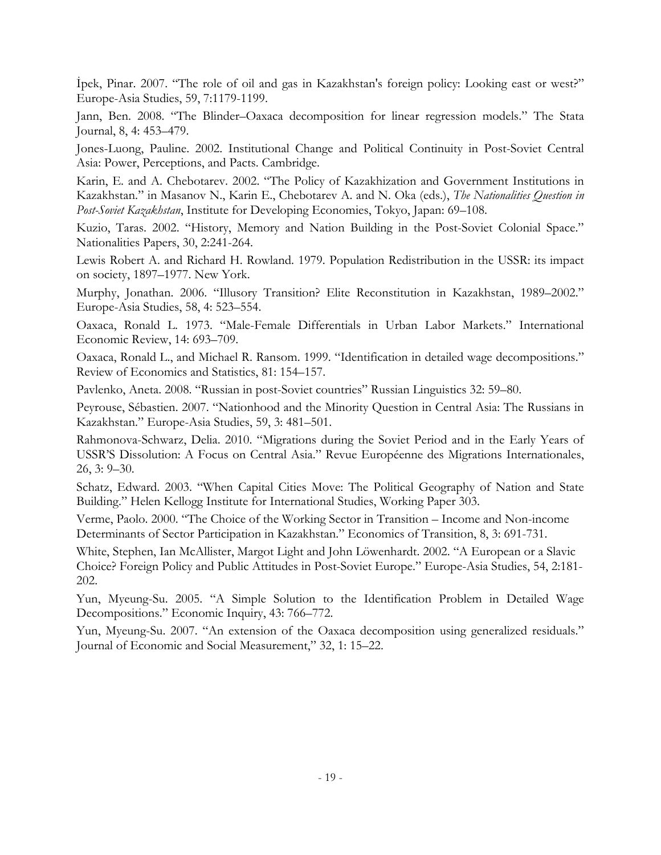İpek, Pinar. 2007. "The role of oil and gas in Kazakhstan's foreign policy: Looking east or west?" Europe-Asia Studies, 59, 7:1179-1199.

Jann, Ben. 2008. "The Blinder–Oaxaca decomposition for linear regression models." The Stata Journal, 8, 4: 453–479.

Jones-Luong, Pauline. 2002. Institutional Change and Political Continuity in Post-Soviet Central Asia: Power, Perceptions, and Pacts. Cambridge.

Karin, E. and A. Chebotarev. 2002. "The Policy of Kazakhization and Government Institutions in Kazakhstan." in Masanov N., Karin E., Chebotarev A. and N. Oka (eds.), *The Nationalities Question in Post-Soviet Kazakhstan*, Institute for Developing Economies, Tokyo, Japan: 69–108.

Kuzio, Taras. 2002. "History, Memory and Nation Building in the Post-Soviet Colonial Space." Nationalities Papers, 30, 2:241-264.

Lewis Robert A. and Richard H. Rowland. 1979. Population Redistribution in the USSR: its impact on society, 1897–1977. New York.

Murphy, Jonathan. 2006. "Illusory Transition? Elite Reconstitution in Kazakhstan, 1989–2002." Europe-Asia Studies, 58, 4: 523–554.

Oaxaca, Ronald L. 1973. "Male-Female Differentials in Urban Labor Markets." International Economic Review, 14: 693–709.

Oaxaca, Ronald L., and Michael R. Ransom. 1999. "Identification in detailed wage decompositions." Review of Economics and Statistics, 81: 154–157.

Pavlenko, Aneta. 2008. "Russian in post-Soviet countries" Russian Linguistics 32: 59–80.

Peyrouse, Sébastien. 2007. "Nationhood and the Minority Question in Central Asia: The Russians in Kazakhstan." Europe-Asia Studies, 59, 3: 481–501.

Rahmonova-Schwarz, Delia. 2010. "Migrations during the Soviet Period and in the Early Years of USSR'S Dissolution: A Focus on Central Asia." Revue Européenne des Migrations Internationales, 26, 3: 9–30.

Schatz, Edward. 2003. "When Capital Cities Move: The Political Geography of Nation and State Building." Helen Kellogg Institute for International Studies, Working Paper 303.

Verme, Paolo. 2000. "The Choice of the Working Sector in Transition – Income and Non-income Determinants of Sector Participation in Kazakhstan." Economics of Transition, 8, 3: 691-731.

White, Stephen, Ian McAllister, Margot Light and John Löwenhardt. 2002. "A European or a Slavic Choice? Foreign Policy and Public Attitudes in Post-Soviet Europe." Europe-Asia Studies, 54, 2:181- 202.

Yun, Myeung-Su. 2005. "A Simple Solution to the Identification Problem in Detailed Wage Decompositions." Economic Inquiry, 43: 766–772.

Yun, Myeung-Su. 2007. "An extension of the Oaxaca decomposition using generalized residuals." Journal of Economic and Social Measurement," 32, 1: 15–22.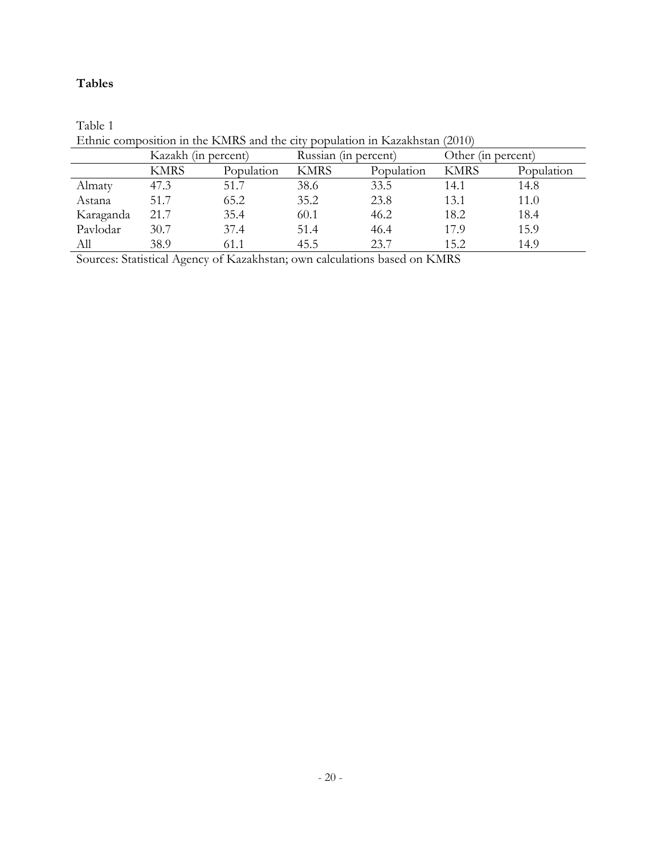### **Tables**

|           | Kazakh (in percent) |            | Russian (in percent) |            | Other (in percent) |            |  |  |  |
|-----------|---------------------|------------|----------------------|------------|--------------------|------------|--|--|--|
|           | <b>KMRS</b>         | Population | <b>KMRS</b>          | Population | <b>KMRS</b>        | Population |  |  |  |
| Almaty    | 47.3                | 51.7       | 38.6                 | 33.5       | 14.1               | 14.8       |  |  |  |
| Astana    | 51.7                | 65.2       | 35.2                 | 23.8       | 13.1               | 11.0       |  |  |  |
| Karaganda | 21.7                | 35.4       | 60.1                 | 46.2       | 18.2               | 18.4       |  |  |  |
| Pavlodar  | 30.7                | 37.4       | 51.4                 | 46.4       | 17.9               | 15.9       |  |  |  |
| All       | 38.9                | 61.1       | 45.5                 | 23.7       | 15.2               | 14.9       |  |  |  |

Table 1 Ethnic composition in the KMRS and the city population in Kazakhstan (2010)

Sources: Statistical Agency of Kazakhstan; own calculations based on KMRS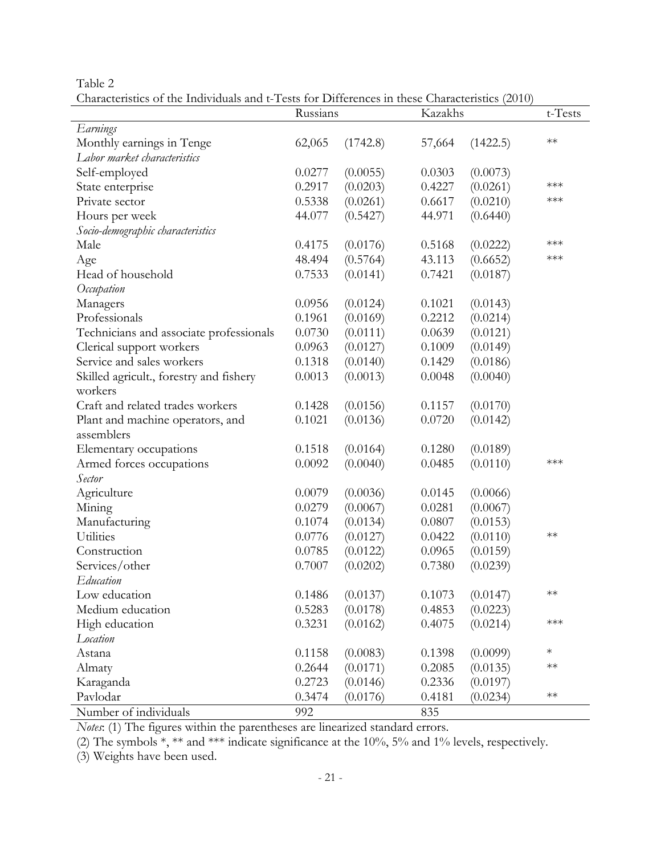Table 2

Characteristics of the Individuals and t-Tests for Differences in these Characteristics (2010)

|                                         | Russians |          | Kazakhs | $t$ -Tests |        |
|-----------------------------------------|----------|----------|---------|------------|--------|
| Earnings                                |          |          |         |            |        |
| Monthly earnings in Tenge               | 62,065   | (1742.8) | 57,664  | (1422.5)   | $**$   |
| Labor market characteristics            |          |          |         |            |        |
| Self-employed                           | 0.0277   | (0.0055) | 0.0303  | (0.0073)   |        |
| State enterprise                        | 0.2917   | (0.0203) | 0.4227  | (0.0261)   | ***    |
| Private sector                          | 0.5338   | (0.0261) | 0.6617  | (0.0210)   | $***$  |
| Hours per week                          | 44.077   | (0.5427) | 44.971  | (0.6440)   |        |
| Socio-demographic characteristics       |          |          |         |            |        |
| Male                                    | 0.4175   | (0.0176) | 0.5168  | (0.0222)   | $***$  |
| Age                                     | 48.494   | (0.5764) | 43.113  | (0.6652)   | ***    |
| Head of household                       | 0.7533   | (0.0141) | 0.7421  | (0.0187)   |        |
| Occupation                              |          |          |         |            |        |
| Managers                                | 0.0956   | (0.0124) | 0.1021  | (0.0143)   |        |
| Professionals                           | 0.1961   | (0.0169) | 0.2212  | (0.0214)   |        |
| Technicians and associate professionals | 0.0730   | (0.0111) | 0.0639  | (0.0121)   |        |
| Clerical support workers                | 0.0963   | (0.0127) | 0.1009  | (0.0149)   |        |
| Service and sales workers               | 0.1318   | (0.0140) | 0.1429  | (0.0186)   |        |
| Skilled agricult., forestry and fishery | 0.0013   | (0.0013) | 0.0048  | (0.0040)   |        |
| workers                                 |          |          |         |            |        |
| Craft and related trades workers        | 0.1428   | (0.0156) | 0.1157  | (0.0170)   |        |
| Plant and machine operators, and        | 0.1021   | (0.0136) | 0.0720  | (0.0142)   |        |
| assemblers                              |          |          |         |            |        |
| Elementary occupations                  | 0.1518   | (0.0164) | 0.1280  | (0.0189)   |        |
| Armed forces occupations                | 0.0092   | (0.0040) | 0.0485  | (0.0110)   | $***$  |
| Sector                                  |          |          |         |            |        |
| Agriculture                             | 0.0079   | (0.0036) | 0.0145  | (0.0066)   |        |
| Mining                                  | 0.0279   | (0.0067) | 0.0281  | (0.0067)   |        |
| Manufacturing                           | 0.1074   | (0.0134) | 0.0807  | (0.0153)   |        |
| Utilities                               | 0.0776   | (0.0127) | 0.0422  | (0.0110)   | $**$   |
| Construction                            | 0.0785   | (0.0122) | 0.0965  | (0.0159)   |        |
| Services/other                          | 0.7007   | (0.0202) | 0.7380  | (0.0239)   |        |
| Education                               |          |          |         |            |        |
| Low education                           | 0.1486   | (0.0137) | 0.1073  | (0.0147)   | $**$   |
| Medium education                        | 0.5283   | (0.0178) | 0.4853  | (0.0223)   |        |
| High education                          | 0.3231   | (0.0162) | 0.4075  | (0.0214)   | ***    |
| Location                                |          |          |         |            |        |
| Astana                                  | 0.1158   | (0.0083) | 0.1398  | (0.0099)   | $\ast$ |
| Almaty                                  | 0.2644   | (0.0171) | 0.2085  | (0.0135)   | $**$   |
| Karaganda                               | 0.2723   | (0.0146) | 0.2336  | (0.0197)   |        |
| Pavlodar                                | 0.3474   | (0.0176) | 0.4181  | (0.0234)   | $**$   |
| Number of individuals                   | 992      |          | 835     |            |        |

*Notes*: (1) The figures within the parentheses are linearized standard errors.

(2) The symbols \*, \*\* and \*\*\* indicate significance at the 10%, 5% and 1% levels, respectively.

(3) Weights have been used.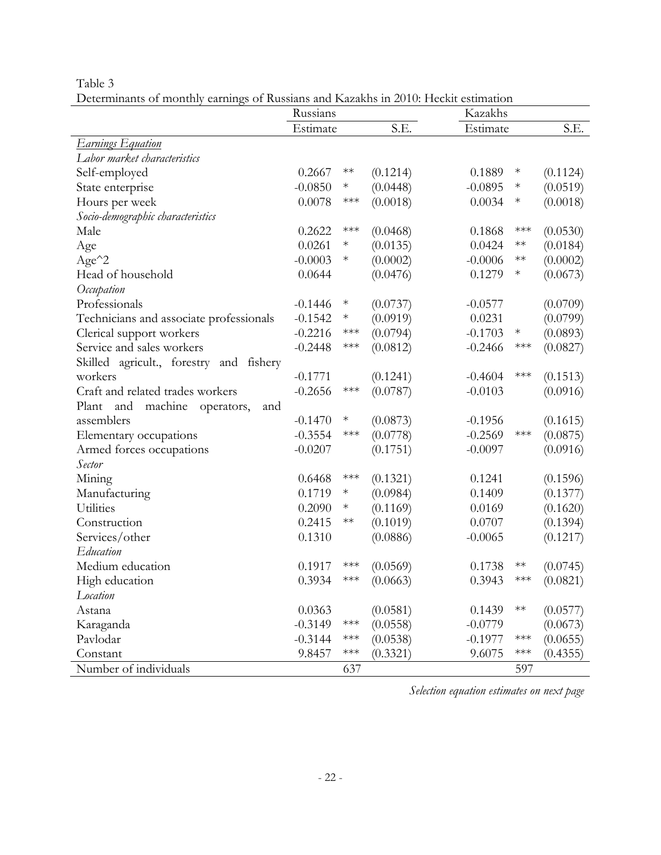Table 3

Determinants of monthly earnings of Russians and Kazakhs in 2010: Heckit estimation

|                                         | Russians  |                    |          | Kazakhs             |                       |          |
|-----------------------------------------|-----------|--------------------|----------|---------------------|-----------------------|----------|
|                                         | Estimate  |                    | S.E.     | Estimate            |                       | S.E.     |
| <b>Earnings Equation</b>                |           |                    |          |                     |                       |          |
| Labor market characteristics            |           |                    |          |                     |                       |          |
| Self-employed                           | 0.2667    | $**$               | (0.1214) | 0.1889<br>$\ast$    |                       | (0.1124) |
| State enterprise                        | $-0.0850$ | $\ast$             | (0.0448) | $-0.0895$<br>$\ast$ |                       | (0.0519) |
| Hours per week                          | 0.0078    | $***$              | (0.0018) | 0.0034<br>$\ast$    |                       | (0.0018) |
| Socio-demographic characteristics       |           |                    |          |                     |                       |          |
| Male                                    | 0.2622    | $***$              | (0.0468) | 0.1868              | $***$                 | (0.0530) |
| Age                                     | 0.0261    | $\ast$             | (0.0135) | 0.0424<br>$**$      |                       | (0.0184) |
| Age <sup>^2</sup>                       | $-0.0003$ | $\ast$             | (0.0002) | $**$<br>$-0.0006$   |                       | (0.0002) |
| Head of household                       | 0.0644    |                    | (0.0476) | 0.1279<br>$\ast$    |                       | (0.0673) |
| Occupation                              |           |                    |          |                     |                       |          |
| Professionals                           | $-0.1446$ | $\ast$             | (0.0737) | $-0.0577$           |                       | (0.0709) |
| Technicians and associate professionals | $-0.1542$ | $\ast$             | (0.0919) | 0.0231              |                       | (0.0799) |
| Clerical support workers                | $-0.2216$ | $***$              | (0.0794) | $-0.1703$<br>$\ast$ |                       | (0.0893) |
| Service and sales workers               | $-0.2448$ | $***$              | (0.0812) | $-0.2466$           | $***$                 | (0.0827) |
| Skilled agricult., forestry and fishery |           |                    |          |                     |                       |          |
| workers                                 | $-0.1771$ |                    | (0.1241) | $-0.4604$           | $***$                 | (0.1513) |
| Craft and related trades workers        | $-0.2656$ | $***$              | (0.0787) | $-0.0103$           |                       | (0.0916) |
| Plant and<br>machine operators,<br>and  |           |                    |          |                     |                       |          |
| assemblers                              | $-0.1470$ | $\ast$             | (0.0873) | $-0.1956$           |                       | (0.1615) |
| Elementary occupations                  | $-0.3554$ | $***$              | (0.0778) | $-0.2569$           | $***$                 | (0.0875) |
| Armed forces occupations                | $-0.0207$ |                    | (0.1751) | $-0.0097$           |                       | (0.0916) |
| Sector                                  |           |                    |          |                     |                       |          |
| Mining                                  | 0.6468    | $***$              | (0.1321) | 0.1241              |                       | (0.1596) |
| Manufacturing                           | 0.1719    | $\ast$             | (0.0984) | 0.1409              |                       | (0.1377) |
| Utilities                               | 0.2090    | $\ast$             | (0.1169) | 0.0169              |                       | (0.1620) |
| Construction                            | 0.2415    | $**$               | (0.1019) | 0.0707              |                       | (0.1394) |
| Services/other                          | 0.1310    |                    | (0.0886) | $-0.0065$           |                       | (0.1217) |
| Education                               |           |                    |          |                     |                       |          |
| Medium education                        | 0.1917    | $***$              | (0.0569) | $**$<br>0.1738      |                       | (0.0745) |
| High education                          | 0.3934    | $***$              | (0.0663) | 0.3943              | $***$                 | (0.0821) |
| Location                                |           |                    |          |                     |                       |          |
| Astana                                  | 0.0363    |                    | (0.0581) | $**$<br>0.1439      |                       | (0.0577) |
| Karaganda                               | $-0.3149$ | $***$              | (0.0558) | $-0.0779$           |                       | (0.0673) |
| Pavlodar                                | $-0.3144$ | $\ast\!\ast\!\ast$ | (0.0538) | $-0.1977$           | ***                   | (0.0655) |
| Constant                                | 9.8457    | $***$              | (0.3321) | 9.6075              | $\star\!\star\!\star$ | (0.4355) |
| Number of individuals                   |           | 637                |          |                     | 597                   |          |

*Selection equation estimates on next page*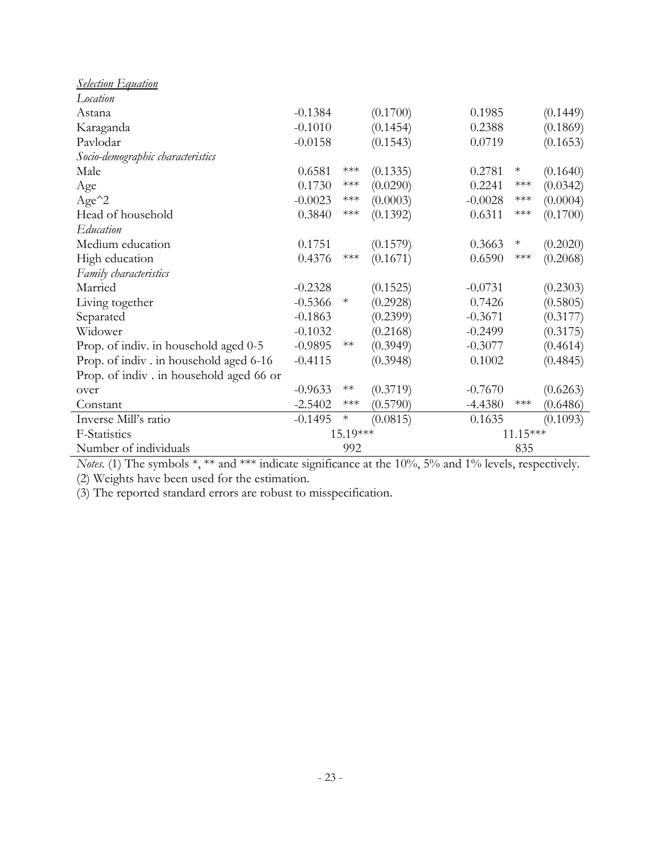| <b>Selection Equation</b>               |           |          |          |           |                                |          |
|-----------------------------------------|-----------|----------|----------|-----------|--------------------------------|----------|
| Location                                |           |          |          |           |                                |          |
| Astana                                  | $-0.1384$ |          | (0.1700) | 0.1985    |                                | (0.1449) |
| Karaganda                               | $-0.1010$ |          | (0.1454) | 0.2388    |                                | (0.1869) |
| Pavlodar                                | $-0.0158$ |          | (0.1543) | 0.0719    |                                | (0.1653) |
| Socio-demographic characteristics       |           |          |          |           |                                |          |
| Male                                    | 0.6581    | $***$    | (0.1335) | 0.2781    | $\ast$                         | (0.1640) |
| Age                                     | 0.1730    | $***$    | (0.0290) | 0.2241    | $***$                          | (0.0342) |
| $Age^2$                                 | $-0.0023$ | $***$    | (0.0003) | $-0.0028$ | $\ast\!\!\ast\!\!\ast\!\!\ast$ | (0.0004) |
| Head of household                       | 0.3840    | $***$    | (0.1392) | 0.6311    | $***$                          | (0.1700) |
| Education                               |           |          |          |           |                                |          |
| Medium education                        | 0.1751    |          | (0.1579) | 0.3663    | $\ast$                         | (0.2020) |
| High education                          | 0.4376    | $***$    | (0.1671) | 0.6590    | $***$                          | (0.2068) |
| Family characteristics                  |           |          |          |           |                                |          |
| Married                                 | $-0.2328$ |          | (0.1525) | $-0.0731$ |                                | (0.2303) |
| Living together                         | $-0.5366$ | $\ast$   | (0.2928) | 0.7426    |                                | (0.5805) |
| Separated                               | $-0.1863$ |          | (0.2399) | $-0.3671$ |                                | (0.3177) |
| Widower                                 | $-0.1032$ |          | (0.2168) | $-0.2499$ |                                | (0.3175) |
| Prop. of indiv. in household aged 0-5   | $-0.9895$ | $**$     | (0.3949) | $-0.3077$ |                                | (0.4614) |
| Prop. of indiv. in household aged 6-16  | $-0.4115$ |          | (0.3948) | 0.1002    |                                | (0.4845) |
| Prop. of indiv. in household aged 66 or |           |          |          |           |                                |          |
| over                                    | $-0.9633$ | $**$     | (0.3719) | $-0.7670$ |                                | (0.6263) |
| Constant                                | $-2.5402$ | $***$    | (0.5790) | $-4.4380$ | $***$                          | (0.6486) |
| Inverse Mill's ratio                    | $-0.1495$ | $\ast$   | (0.0815) | 0.1635    |                                | (0.1093) |
| F-Statistics                            |           | 15.19*** |          |           | 11.15***                       |          |
| Number of individuals                   |           | 992      |          |           | 835                            |          |

*Notes*. (1) The symbols  $*, **$  and  $***$  indicate significance at the 10%, 5% and 1% levels, respectively. (2) Weights have been used for the estimation.

(3) The reported standard errors are robust to misspecification.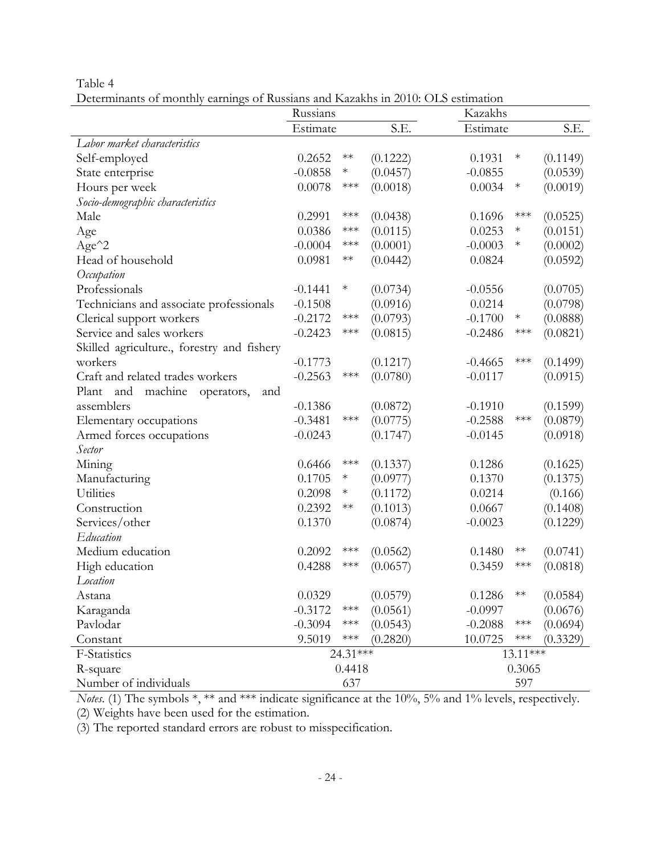Table 4

Determinants of monthly earnings of Russians and Kazakhs in 2010: OLS estimation

|                                              | Russians  |                       |          | Kazakhs   |                       |          |
|----------------------------------------------|-----------|-----------------------|----------|-----------|-----------------------|----------|
|                                              | Estimate  |                       | S.E.     | Estimate  |                       | S.E.     |
| Labor market characteristics                 |           |                       |          |           |                       |          |
| Self-employed                                | 0.2652    | $**$                  | (0.1222) | 0.1931    | $\ast$                | (0.1149) |
| State enterprise                             | $-0.0858$ | $\ast$                | (0.0457) | $-0.0855$ |                       | (0.0539) |
| Hours per week                               | 0.0078    | $***$                 | (0.0018) | 0.0034    | $\ast$                | (0.0019) |
| Socio-demographic characteristics            |           |                       |          |           |                       |          |
| Male                                         | 0.2991    | $***$                 | (0.0438) | 0.1696    | $***$                 | (0.0525) |
| Age                                          | 0.0386    | $***$                 | (0.0115) | 0.0253    | $\ast$                | (0.0151) |
| $Age^2$                                      | $-0.0004$ | $***$                 | (0.0001) | $-0.0003$ | $\ast$                | (0.0002) |
| Head of household                            | 0.0981    | $**$                  | (0.0442) | 0.0824    |                       | (0.0592) |
| Occupation                                   |           |                       |          |           |                       |          |
| Professionals                                | $-0.1441$ | $\ast$                | (0.0734) | $-0.0556$ |                       | (0.0705) |
| Technicians and associate professionals      | $-0.1508$ |                       | (0.0916) | 0.0214    |                       | (0.0798) |
| Clerical support workers                     | $-0.2172$ | $***$                 | (0.0793) | $-0.1700$ | $\ast$                | (0.0888) |
| Service and sales workers                    | $-0.2423$ | $***$                 | (0.0815) | $-0.2486$ | $***$                 | (0.0821) |
| Skilled agriculture., forestry and fishery   |           |                       |          |           |                       |          |
| workers                                      | $-0.1773$ |                       | (0.1217) | $-0.4665$ | $***$                 | (0.1499) |
| Craft and related trades workers             | $-0.2563$ | $***$                 | (0.0780) | $-0.0117$ |                       | (0.0915) |
| Plant<br>machine<br>and<br>operators,<br>and |           |                       |          |           |                       |          |
| assemblers                                   | $-0.1386$ |                       | (0.0872) | $-0.1910$ |                       | (0.1599) |
| Elementary occupations                       | $-0.3481$ | $***$                 | (0.0775) | $-0.2588$ | $***$                 | (0.0879) |
| Armed forces occupations                     | $-0.0243$ |                       | (0.1747) | $-0.0145$ |                       | (0.0918) |
| Sector                                       |           |                       |          |           |                       |          |
| Mining                                       | 0.6466    | $***$                 | (0.1337) | 0.1286    |                       | (0.1625) |
| Manufacturing                                | 0.1705    | $\ast$                | (0.0977) | 0.1370    |                       | (0.1375) |
| Utilities                                    | 0.2098    | $\ast$                | (0.1172) | 0.0214    |                       | (0.166)  |
| Construction                                 | 0.2392    | $**$                  | (0.1013) | 0.0667    |                       | (0.1408) |
| Services/other                               | 0.1370    |                       | (0.0874) | $-0.0023$ |                       | (0.1229) |
| Education                                    |           |                       |          |           |                       |          |
| Medium education                             | 0.2092    | $***$                 | (0.0562) | 0.1480    | $**$                  | (0.0741) |
| High education                               | 0.4288    | $***$                 | (0.0657) | 0.3459    | ***                   | (0.0818) |
| Location                                     |           |                       |          |           |                       |          |
| Astana                                       | 0.0329    |                       | (0.0579) | 0.1286    | $**$                  | (0.0584) |
| Karaganda                                    | $-0.3172$ | $***$                 | (0.0561) | $-0.0997$ |                       | (0.0676) |
| Pavlodar                                     | $-0.3094$ | $***$                 | (0.0543) | $-0.2088$ | $***$                 | (0.0694) |
| Constant                                     | 9.5019    | $\star\!\star\!\star$ | (0.2820) | 10.0725   | $\star\!\star\!\star$ | (0.3329) |
| F-Statistics                                 |           | 24.31***              |          |           | 13.11***              |          |
| R-square                                     |           | 0.4418                |          |           | 0.3065                |          |
| Number of individuals                        |           | 637                   |          |           | 597                   |          |

*Notes*. (1) The symbols  $*, **$  and  $***$  indicate significance at the 10%, 5% and 1% levels, respectively.

(2) Weights have been used for the estimation.

(3) The reported standard errors are robust to misspecification.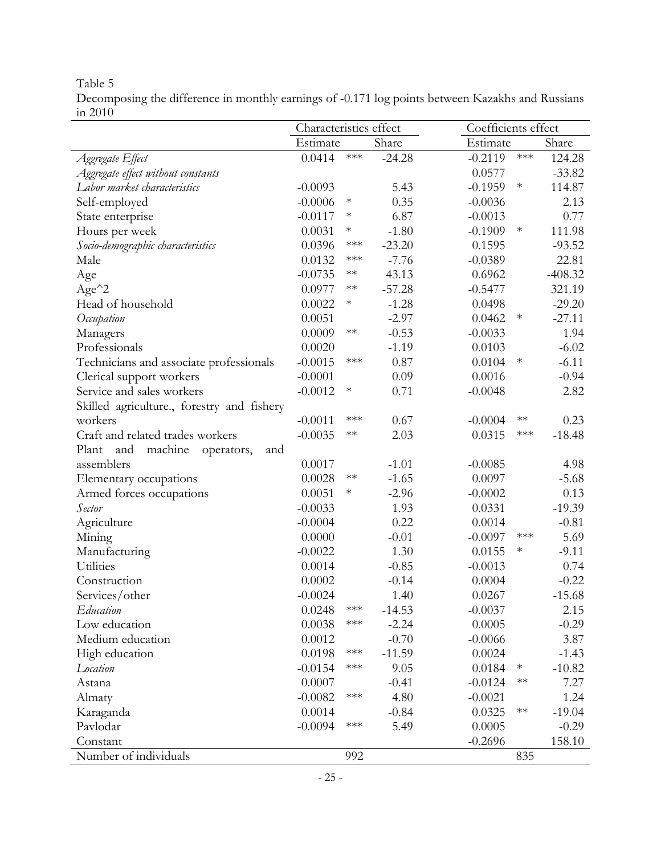Table 5

Decomposing the difference in monthly earnings of -0*.*171 log points between Kazakhs and Russians in 2010

|                                              | Characteristics effect<br>Coefficients effect |                       |          |           |                       |           |
|----------------------------------------------|-----------------------------------------------|-----------------------|----------|-----------|-----------------------|-----------|
|                                              | Estimate                                      |                       | Share    | Estimate  |                       | Share     |
| Aggregate Effect                             | 0.0414                                        | $\star\!\star\!\star$ | $-24.28$ | $-0.2119$ | $\star\!\star\!\star$ | 124.28    |
| Aggregate effect without constants           |                                               |                       |          | 0.0577    |                       | $-33.82$  |
| Labor market characteristics                 | $-0.0093$                                     |                       | 5.43     | $-0.1959$ | $\ast$                | 114.87    |
| Self-employed                                | $-0.0006$                                     | $\ast$                | 0.35     | $-0.0036$ |                       | 2.13      |
| State enterprise                             | $-0.0117$                                     | $\ast$                | 6.87     | $-0.0013$ |                       | 0.77      |
| Hours per week                               | 0.0031                                        | $\ast$                | $-1.80$  | $-0.1909$ | $\ast$                | 111.98    |
| Socio-demographic characteristics            | 0.0396                                        | $***$                 | $-23.20$ | 0.1595    |                       | $-93.52$  |
| Male                                         | 0.0132                                        | $***$                 | $-7.76$  | $-0.0389$ |                       | 22.81     |
| Age                                          | $-0.0735$                                     | $**$                  | 43.13    | 0.6962    |                       | $-408.32$ |
| $Age^2$                                      | 0.0977                                        | $**$                  | $-57.28$ | $-0.5477$ |                       | 321.19    |
| Head of household                            | 0.0022                                        | $\ast$                | $-1.28$  | 0.0498    |                       | $-29.20$  |
| Occupation                                   | 0.0051                                        |                       | $-2.97$  | 0.0462    | $\ast$                | $-27.11$  |
| Managers                                     | 0.0009                                        | $**$                  | $-0.53$  | $-0.0033$ |                       | 1.94      |
| Professionals                                | 0.0020                                        |                       | $-1.19$  | 0.0103    |                       | $-6.02$   |
| Technicians and associate professionals      | $-0.0015$                                     | $***$                 | 0.87     | 0.0104    | $\ast$                | $-6.11$   |
| Clerical support workers                     | $-0.0001$                                     |                       | 0.09     | 0.0016    |                       | $-0.94$   |
| Service and sales workers                    | $-0.0012$                                     | $\ast$                | 0.71     | $-0.0048$ |                       | 2.82      |
| Skilled agriculture., forestry and fishery   |                                               |                       |          |           |                       |           |
| workers                                      | $-0.0011$                                     | $***$                 | 0.67     | $-0.0004$ | $**$                  | 0.23      |
| Craft and related trades workers             | $-0.0035$                                     | $**$                  | 2.03     | 0.0315    | $***$                 | $-18.48$  |
| and<br>machine<br>Plant<br>and<br>operators, |                                               |                       |          |           |                       |           |
| assemblers                                   | 0.0017                                        |                       | $-1.01$  | $-0.0085$ |                       | 4.98      |
| Elementary occupations                       | 0.0028                                        | $**$                  | $-1.65$  | 0.0097    |                       | $-5.68$   |
| Armed forces occupations                     | 0.0051                                        | $\ast$                | $-2.96$  | $-0.0002$ |                       | 0.13      |
| Sector                                       | $-0.0033$                                     |                       | 1.93     | 0.0331    |                       | $-19.39$  |
| Agriculture                                  | $-0.0004$                                     |                       | 0.22     | 0.0014    |                       | $-0.81$   |
| Mining                                       | 0.0000                                        |                       | $-0.01$  | $-0.0097$ | $***$                 | 5.69      |
| Manufacturing                                | $-0.0022$                                     |                       | 1.30     | 0.0155    | $\ast$                | $-9.11$   |
| Utilities                                    | 0.0014                                        |                       | $-0.85$  | $-0.0013$ |                       | 0.74      |
| Construction                                 | 0.0002                                        |                       | $-0.14$  | 0.0004    |                       | $-0.22$   |
| Services/other                               | $-0.0024$                                     |                       | 1.40     | 0.0267    |                       | $-15.68$  |
| Education                                    | 0.0248                                        | $***$                 | $-14.53$ | $-0.0037$ |                       | 2.15      |
| Low education                                | 0.0038                                        | $***$                 | $-2.24$  | 0.0005    |                       | $-0.29$   |
| Medium education                             | 0.0012                                        |                       | $-0.70$  | $-0.0066$ |                       | 3.87      |
| High education                               | 0.0198                                        | $***$                 | $-11.59$ | 0.0024    |                       | $-1.43$   |
| Location                                     | $-0.0154$                                     | $***$                 | 9.05     | 0.0184    | $\ast$                | $-10.82$  |
| Astana                                       | 0.0007                                        |                       | $-0.41$  | $-0.0124$ | $**$                  | 7.27      |
| Almaty                                       | $-0.0082$                                     | $***$                 | 4.80     | $-0.0021$ |                       | 1.24      |
| Karaganda                                    | 0.0014                                        |                       | $-0.84$  | 0.0325    | $**$                  | $-19.04$  |
| Pavlodar                                     | $-0.0094$                                     | $\star\!\star\!\star$ | 5.49     | 0.0005    |                       | $-0.29$   |
| Constant                                     |                                               |                       |          | $-0.2696$ |                       | 158.10    |
| Number of individuals                        |                                               | 992                   |          |           | 835                   |           |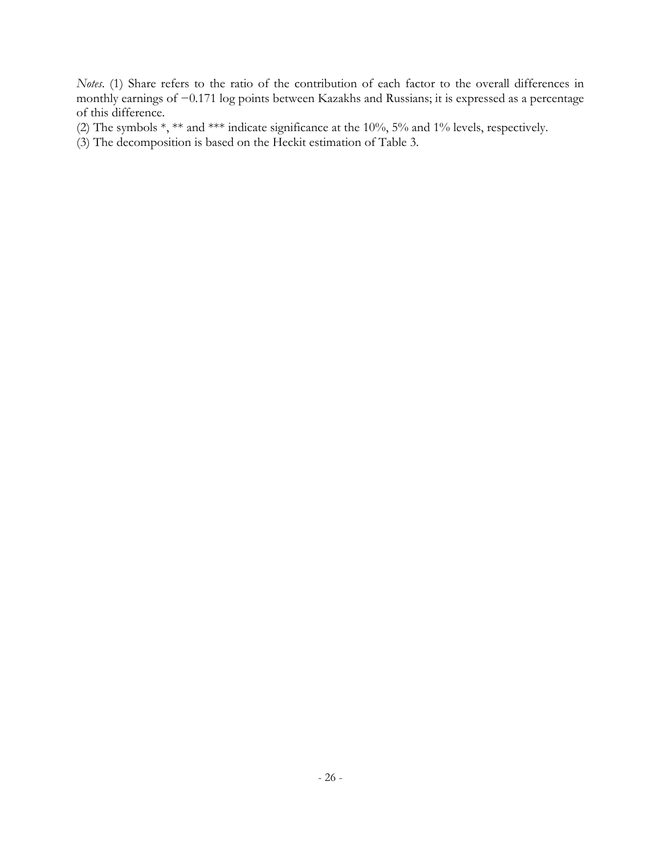*Notes*. (1) Share refers to the ratio of the contribution of each factor to the overall differences in monthly earnings of −0*.*171 log points between Kazakhs and Russians; it is expressed as a percentage of this difference.

(2) The symbols \*, \*\* and \*\*\* indicate significance at the 10%, 5% and 1% levels, respectively.

(3) The decomposition is based on the Heckit estimation of Table 3.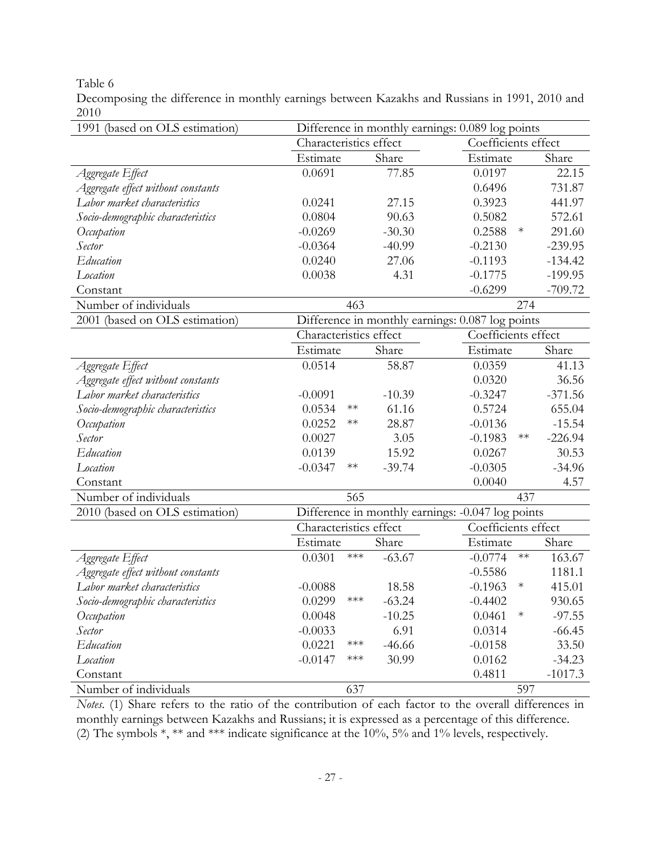Table 6

Decomposing the difference in monthly earnings between Kazakhs and Russians in 1991, 2010 and 2010

| 1991 (based on OLS estimation)     |                                                  |                    |          | Difference in monthly earnings: 0.089 log points  |           |  |
|------------------------------------|--------------------------------------------------|--------------------|----------|---------------------------------------------------|-----------|--|
|                                    | Characteristics effect                           |                    |          | Coefficients effect                               |           |  |
|                                    | Estimate                                         |                    | Share    | Estimate                                          | Share     |  |
| Aggregate Effect                   | 0.0691                                           |                    | 77.85    | 0.0197                                            | 22.15     |  |
| Aggregate effect without constants |                                                  |                    |          | 0.6496                                            | 731.87    |  |
| Labor market characteristics       | 0.0241                                           |                    | 27.15    | 0.3923                                            | 441.97    |  |
| Socio-demographic characteristics  | 0.0804                                           |                    | 90.63    | 0.5082                                            | 572.61    |  |
| Occupation                         | $-0.0269$                                        |                    | $-30.30$ | $\ast$<br>0.2588                                  | 291.60    |  |
| Sector                             | $-0.0364$                                        |                    | $-40.99$ | $-0.2130$                                         | $-239.95$ |  |
| Education                          | 0.0240                                           |                    | 27.06    | $-0.1193$                                         | $-134.42$ |  |
| Location                           | 0.0038                                           |                    | 4.31     | $-0.1775$                                         | $-199.95$ |  |
| Constant                           |                                                  |                    |          | $-0.6299$                                         | $-709.72$ |  |
| Number of individuals              |                                                  | 463                |          | 274                                               |           |  |
| 2001 (based on OLS estimation)     | Difference in monthly earnings: 0.087 log points |                    |          |                                                   |           |  |
|                                    | Characteristics effect                           |                    |          | Coefficients effect                               |           |  |
|                                    | Estimate                                         |                    | Share    | Estimate                                          | Share     |  |
| Aggregate Effect                   | 0.0514                                           |                    | 58.87    | 0.0359                                            | 41.13     |  |
| Aggregate effect without constants |                                                  |                    |          | 0.0320                                            | 36.56     |  |
| Labor market characteristics       | $-0.0091$                                        |                    | $-10.39$ | $-0.3247$                                         | $-371.56$ |  |
| Socio-demographic characteristics  | 0.0534                                           | $**$               | 61.16    | 0.5724                                            | 655.04    |  |
| Occupation                         | 0.0252                                           | $**$               | 28.87    | $-0.0136$                                         | $-15.54$  |  |
| Sector                             | 0.0027                                           |                    | 3.05     | $**$<br>$-0.1983$                                 | $-226.94$ |  |
| Education                          | 0.0139                                           |                    | 15.92    | 0.0267                                            | 30.53     |  |
| Location                           | $-0.0347$                                        | $**$               | $-39.74$ | $-0.0305$                                         | $-34.96$  |  |
| Constant                           |                                                  |                    |          | 0.0040                                            | 4.57      |  |
| Number of individuals              |                                                  | 565                |          | 437                                               |           |  |
| 2010 (based on OLS estimation)     |                                                  |                    |          | Difference in monthly earnings: -0.047 log points |           |  |
|                                    | Characteristics effect                           |                    |          | Coefficients effect                               |           |  |
|                                    | Estimate                                         |                    | Share    | Estimate                                          | Share     |  |
| Aggregate Effect                   | 0.0301                                           | $\ast\!\ast\!\ast$ | $-63.67$ | $-0.0774$<br>$\ast\ast$                           | 163.67    |  |
| Aggregate effect without constants |                                                  |                    |          | $-0.5586$                                         | 1181.1    |  |
| Labor market characteristics       | $-0.0088$                                        |                    | 18.58    | $-0.1963$<br>$\ast$                               | 415.01    |  |
| Socio-demographic characteristics  | 0.0299                                           | $***$              | $-63.24$ | $-0.4402$                                         | 930.65    |  |
| Occupation                         | 0.0048                                           |                    | $-10.25$ | 0.0461<br>$\ast$                                  | $-97.55$  |  |
| Sector                             | $-0.0033$                                        |                    | 6.91     | 0.0314                                            | $-66.45$  |  |
| Education                          | 0.0221                                           | ***                | $-46.66$ | $-0.0158$                                         | 33.50     |  |
| Location                           | $-0.0147$                                        | $***$              | 30.99    | 0.0162                                            | $-34.23$  |  |
| Constant                           |                                                  |                    |          | 0.4811                                            | $-1017.3$ |  |
| Number of individuals              |                                                  | 637                |          | 597                                               |           |  |

*Notes*. (1) Share refers to the ratio of the contribution of each factor to the overall differences in monthly earnings between Kazakhs and Russians; it is expressed as a percentage of this difference. (2) The symbols \*, \*\* and \*\*\* indicate significance at the 10%, 5% and 1% levels, respectively.